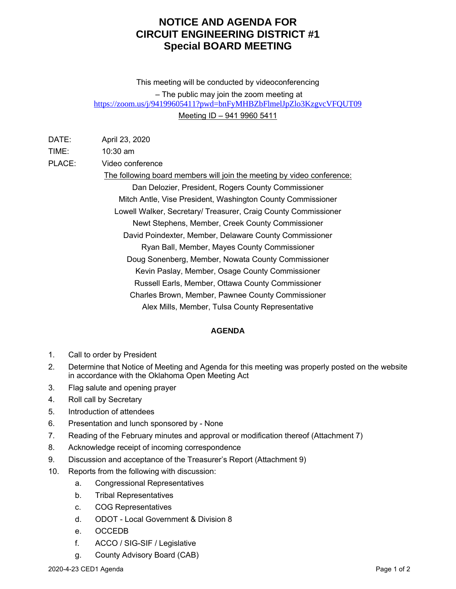## **NOTICE AND AGENDA FOR CIRCUIT ENGINEERING DISTRICT #1 Special BOARD MEETING**

This meeting will be conducted by videoconferencing – The public may join the zoom meeting at <https://zoom.us/j/94199605411?pwd=bnFyMHBZbFlmelJpZlo3KzgvcVFQUT09> Meeting ID – 941 9960 5411

| DATE: | April 23, 2020 |  |
|-------|----------------|--|
|       |                |  |

TIME: 10:30 am

PLACE: Video conference

The following board members will join the meeting by video conference: Dan Delozier, President, Rogers County Commissioner Mitch Antle, Vise President, Washington County Commissioner Lowell Walker, Secretary/ Treasurer, Craig County Commissioner Newt Stephens, Member, Creek County Commissioner David Poindexter, Member, Delaware County Commissioner Ryan Ball, Member, Mayes County Commissioner Doug Sonenberg, Member, Nowata County Commissioner Kevin Paslay, Member, Osage County Commissioner Russell Earls, Member, Ottawa County Commissioner Charles Brown, Member, Pawnee County Commissioner Alex Mills, Member, Tulsa County Representative

## **AGENDA**

- 1. Call to order by President
- 2. Determine that Notice of Meeting and Agenda for this meeting was properly posted on the website in accordance with the Oklahoma Open Meeting Act
- 3. Flag salute and opening prayer
- 4. Roll call by Secretary
- 5. Introduction of attendees
- 6. Presentation and lunch sponsored by None
- 7. Reading of the February minutes and approval or modification thereof (Attachment 7)
- 8. Acknowledge receipt of incoming correspondence
- 9. Discussion and acceptance of the Treasurer's Report (Attachment 9)
- 10. Reports from the following with discussion:
	- a. Congressional Representatives
	- b. Tribal Representatives
	- c. COG Representatives
	- d. ODOT Local Government & Division 8
	- e. OCCEDB
	- f. ACCO / SIG-SIF / Legislative
	- g. County Advisory Board (CAB)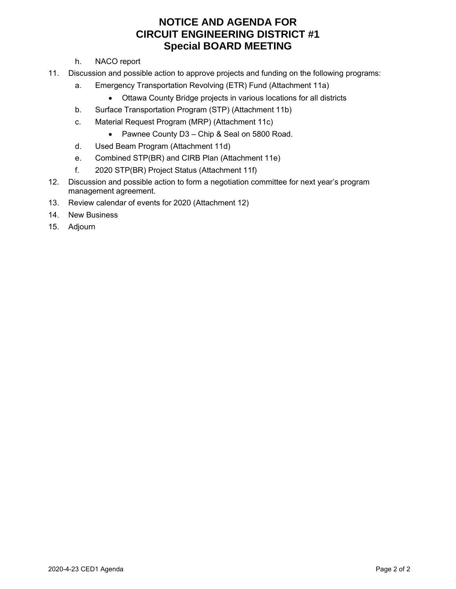## **NOTICE AND AGENDA FOR CIRCUIT ENGINEERING DISTRICT #1 Special BOARD MEETING**

- h. NACO report
- 11. Discussion and possible action to approve projects and funding on the following programs:
	- a. Emergency Transportation Revolving (ETR) Fund (Attachment 11a)
		- Ottawa County Bridge projects in various locations for all districts
	- b. Surface Transportation Program (STP) (Attachment 11b)
	- c. Material Request Program (MRP) (Attachment 11c)
		- Pawnee County D3 Chip & Seal on 5800 Road.
	- d. Used Beam Program (Attachment 11d)
	- e. Combined STP(BR) and CIRB Plan (Attachment 11e)
	- f. 2020 STP(BR) Project Status (Attachment 11f)
- 12. Discussion and possible action to form a negotiation committee for next year's program management agreement.
- 13. Review calendar of events for 2020 (Attachment 12)
- 14. New Business
- 15. Adjourn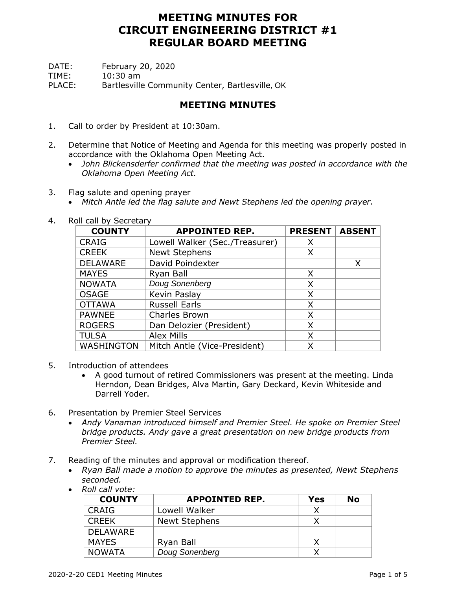DATE: February 20, 2020

TIME: 10:30 am

PLACE: Bartlesville Community Center, Bartlesville, OK

## **MEETING MINUTES**

- 1. Call to order by President at 10:30am.
- 2. Determine that Notice of Meeting and Agenda for this meeting was properly posted in accordance with the Oklahoma Open Meeting Act.
	- *John Blickensderfer confirmed that the meeting was posted in accordance with the Oklahoma Open Meeting Act.*
- 3. Flag salute and opening prayer
	- *Mitch Antle led the flag salute and Newt Stephens led the opening prayer.*
- 4. Roll call by Secretary

| <b>COUNTY</b>   | <b>APPOINTED REP.</b>          |   |   |  |  |  |  |  |
|-----------------|--------------------------------|---|---|--|--|--|--|--|
| <b>CRAIG</b>    | Lowell Walker (Sec./Treasurer) | Х |   |  |  |  |  |  |
| <b>CREEK</b>    | <b>Newt Stephens</b>           | X |   |  |  |  |  |  |
| <b>DELAWARE</b> | David Poindexter               |   | X |  |  |  |  |  |
| <b>MAYES</b>    | Ryan Ball                      | X |   |  |  |  |  |  |
| <b>NOWATA</b>   | Doug Sonenberg                 | X |   |  |  |  |  |  |
| <b>OSAGE</b>    | Kevin Paslay                   | X |   |  |  |  |  |  |
| <b>OTTAWA</b>   | <b>Russell Earls</b>           | X |   |  |  |  |  |  |
| <b>PAWNEE</b>   | Charles Brown                  | X |   |  |  |  |  |  |
| <b>ROGERS</b>   | Dan Delozier (President)       | X |   |  |  |  |  |  |
| <b>TULSA</b>    | <b>Alex Mills</b>              | X |   |  |  |  |  |  |
| WASHINGTON      | Mitch Antle (Vice-President)   | Χ |   |  |  |  |  |  |

- 5. Introduction of attendees
	- A good turnout of retired Commissioners was present at the meeting. Linda Herndon, Dean Bridges, Alva Martin, Gary Deckard, Kevin Whiteside and Darrell Yoder.
- 6. Presentation by Premier Steel Services
	- *Andy Vanaman introduced himself and Premier Steel. He spoke on Premier Steel bridge products. Andy gave a great presentation on new bridge products from Premier Steel.*
- 7. Reading of the minutes and approval or modification thereof.
	- *Ryan Ball made a motion to approve the minutes as presented, Newt Stephens seconded.*
	- *Roll call vote:*

| <b>COUNTY</b>   | <b>APPOINTED REP.</b> |  |  |  |  |  |  |  |
|-----------------|-----------------------|--|--|--|--|--|--|--|
| <b>CRAIG</b>    | Lowell Walker         |  |  |  |  |  |  |  |
| <b>CREEK</b>    | <b>Newt Stephens</b>  |  |  |  |  |  |  |  |
| <b>DELAWARE</b> |                       |  |  |  |  |  |  |  |
| <b>MAYES</b>    | Ryan Ball             |  |  |  |  |  |  |  |
| <b>NOWATA</b>   | Doug Sonenberg        |  |  |  |  |  |  |  |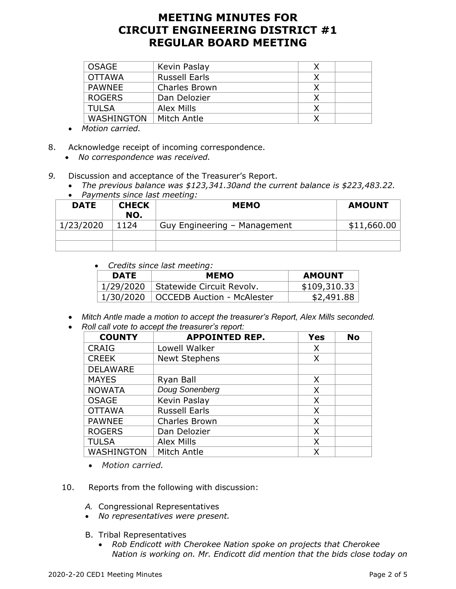| <b>OSAGE</b>      | Kevin Paslay         |  |
|-------------------|----------------------|--|
| <b>OTTAWA</b>     | <b>Russell Earls</b> |  |
| <b>PAWNEE</b>     | <b>Charles Brown</b> |  |
| <b>ROGERS</b>     | Dan Delozier         |  |
| <b>TULSA</b>      | Alex Mills           |  |
| <b>WASHINGTON</b> | Mitch Antle          |  |

- *Motion carried.*
- 8. Acknowledge receipt of incoming correspondence.
	- *No correspondence was received.*
- *9.* Discussion and acceptance of the Treasurer's Report.
	- *The previous balance was \$123,341.30and the current balance is \$223,483.22.* • *Payments since last meeting:*

| <b>DATE</b> | <b>CHECK</b><br>NO. | <b>MEMO</b>                  | <b>AMOUNT</b> |
|-------------|---------------------|------------------------------|---------------|
| 1/23/2020   | 1124                | Guy Engineering - Management | \$11,660.00   |
|             |                     |                              |               |
|             |                     |                              |               |

• *Credits since last meeting:*

| <b>DATE</b> | <b>AMOUNT</b>                          |              |
|-------------|----------------------------------------|--------------|
| 1/29/2020   | Statewide Circuit Revolv.              | \$109,310.33 |
|             | 1/30/2020   OCCEDB Auction - McAlester | \$2,491.88   |

- *Mitch Antle made a motion to accept the treasurer's Report, Alex Mills seconded.*
- *Roll call vote to accept the treasurer's report:*

| <b>COUNTY</b>     | <b>APPOINTED REP.</b> | <b>Yes</b> | <b>No</b> |  |  |
|-------------------|-----------------------|------------|-----------|--|--|
| <b>CRAIG</b>      | Lowell Walker         | X          |           |  |  |
| <b>CREEK</b>      | <b>Newt Stephens</b>  | Χ          |           |  |  |
| <b>DELAWARE</b>   |                       |            |           |  |  |
| <b>MAYES</b>      | Ryan Ball             | X          |           |  |  |
| <b>NOWATA</b>     | Doug Sonenberg        | X          |           |  |  |
| <b>OSAGE</b>      | Kevin Paslay          | X          |           |  |  |
| <b>OTTAWA</b>     | <b>Russell Earls</b>  | X          |           |  |  |
| <b>PAWNEE</b>     | <b>Charles Brown</b>  | X          |           |  |  |
| <b>ROGERS</b>     | Dan Delozier          | X          |           |  |  |
| <b>TULSA</b>      | <b>Alex Mills</b>     | X          |           |  |  |
| <b>WASHINGTON</b> | Mitch Antle           | Χ          |           |  |  |

- *Motion carried.*
- 10. Reports from the following with discussion:
	- *A.* Congressional Representatives
	- *No representatives were present.*
	- B. Tribal Representatives
		- *Rob Endicott with Cherokee Nation spoke on projects that Cherokee Nation is working on. Mr. Endicott did mention that the bids close today on*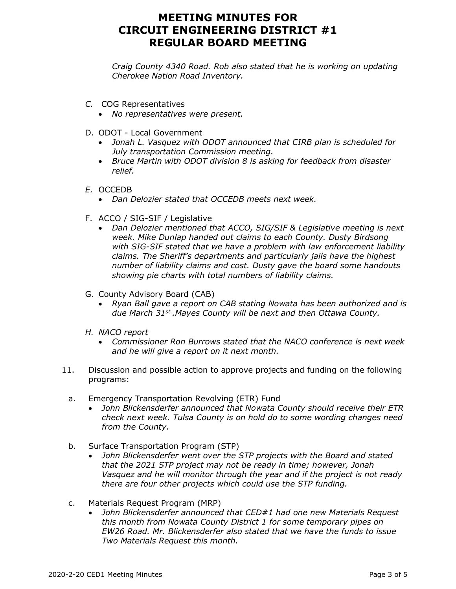*Craig County 4340 Road. Rob also stated that he is working on updating Cherokee Nation Road Inventory.* 

- *C.* COG Representatives
	- *No representatives were present.*
- D. ODOT Local Government
	- *Jonah L. Vasquez with ODOT announced that CIRB plan is scheduled for July transportation Commission meeting.*
	- *Bruce Martin with ODOT division 8 is asking for feedback from disaster relief.*
- *E.* OCCEDB
	- *Dan Delozier stated that OCCEDB meets next week.*
- F. ACCO / SIG-SIF / Legislative
	- *Dan Delozier mentioned that ACCO, SIG/SIF & Legislative meeting is next week. Mike Dunlap handed out claims to each County. Dusty Birdsong with SIG-SIF stated that we have a problem with law enforcement liability claims. The Sheriff's departments and particularly jails have the highest number of liability claims and cost. Dusty gave the board some handouts showing pie charts with total numbers of liability claims.*
- G. County Advisory Board (CAB)
	- *Ryan Ball gave a report on CAB stating Nowata has been authorized and is due March 31st. .Mayes County will be next and then Ottawa County.*
- *H. NACO report*
	- *Commissioner Ron Burrows stated that the NACO conference is next week and he will give a report on it next month.*
- 11. Discussion and possible action to approve projects and funding on the following programs:
	- a. Emergency Transportation Revolving (ETR) Fund
		- *John Blickensderfer announced that Nowata County should receive their ETR check next week. Tulsa County is on hold do to some wording changes need from the County.*
	- b. Surface Transportation Program (STP)
		- *John Blickensderfer went over the STP projects with the Board and stated that the 2021 STP project may not be ready in time; however, Jonah Vasquez and he will monitor through the year and if the project is not ready there are four other projects which could use the STP funding.*
	- c. Materials Request Program (MRP)
		- *John Blickensderfer announced that CED#1 had one new Materials Request this month from Nowata County District 1 for some temporary pipes on EW26 Road. Mr. Blickensderfer also stated that we have the funds to issue Two Materials Request this month.*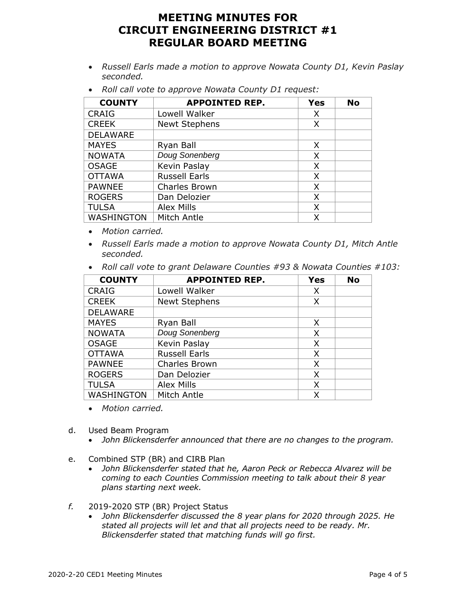- *Russell Earls made a motion to approve Nowata County D1, Kevin Paslay seconded.*
- *Roll call vote to approve Nowata County D1 request:*

| <b>COUNTY</b>     | <b>APPOINTED REP.</b> | <b>Yes</b> | <b>No</b> |
|-------------------|-----------------------|------------|-----------|
| <b>CRAIG</b>      | Lowell Walker         | X          |           |
| <b>CREEK</b>      | <b>Newt Stephens</b>  | X          |           |
| <b>DELAWARE</b>   |                       |            |           |
| <b>MAYES</b>      | Ryan Ball             | X          |           |
| <b>NOWATA</b>     | Doug Sonenberg        | X          |           |
| <b>OSAGE</b>      | Kevin Paslay          | X          |           |
| <b>OTTAWA</b>     | <b>Russell Earls</b>  | X          |           |
| <b>PAWNEE</b>     | <b>Charles Brown</b>  | X          |           |
| <b>ROGERS</b>     | Dan Delozier          | X          |           |
| <b>TULSA</b>      | <b>Alex Mills</b>     | X          |           |
| <b>WASHINGTON</b> | Mitch Antle           | X          |           |

- *Motion carried.*
- *Russell Earls made a motion to approve Nowata County D1, Mitch Antle seconded.*
- *Roll call vote to grant Delaware Counties #93 & Nowata Counties #103:*

| <b>COUNTY</b>     | <b>APPOINTED REP.</b> | <b>Yes</b> | <b>No</b> |  |  |
|-------------------|-----------------------|------------|-----------|--|--|
| <b>CRAIG</b>      | Lowell Walker         | Χ          |           |  |  |
| <b>CREEK</b>      | <b>Newt Stephens</b>  | Χ          |           |  |  |
| <b>DELAWARE</b>   |                       |            |           |  |  |
| <b>MAYES</b>      | Ryan Ball             | X          |           |  |  |
| <b>NOWATA</b>     | Doug Sonenberg        | X          |           |  |  |
| <b>OSAGE</b>      | Kevin Paslay          | X          |           |  |  |
| <b>OTTAWA</b>     | <b>Russell Earls</b>  | X          |           |  |  |
| <b>PAWNEE</b>     | <b>Charles Brown</b>  | X          |           |  |  |
| <b>ROGERS</b>     | Dan Delozier          | X          |           |  |  |
| <b>TULSA</b>      | <b>Alex Mills</b>     | X          |           |  |  |
| <b>WASHINGTON</b> | Mitch Antle           | Χ          |           |  |  |

- *Motion carried.*
- d. Used Beam Program
	- *John Blickensderfer announced that there are no changes to the program.*
- e. Combined STP (BR) and CIRB Plan
	- *John Blickensderfer stated that he, Aaron Peck or Rebecca Alvarez will be coming to each Counties Commission meeting to talk about their 8 year plans starting next week.*
- *f.* 2019-2020 STP (BR) Project Status
	- *John Blickensderfer discussed the 8 year plans for 2020 through 2025. He stated all projects will let and that all projects need to be ready. Mr. Blickensderfer stated that matching funds will go first.*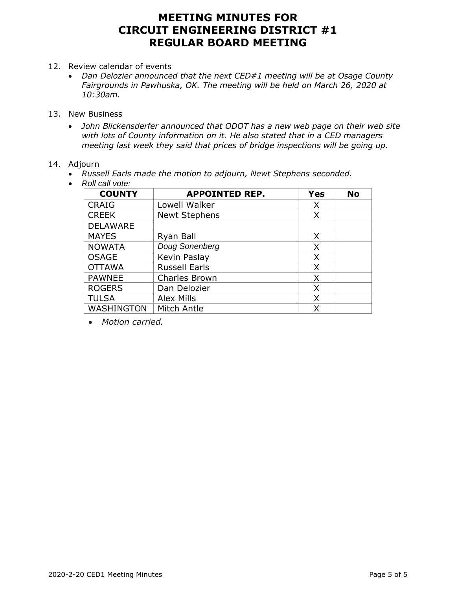- 12. Review calendar of events
	- *Dan Delozier announced that the next CED#1 meeting will be at Osage County Fairgrounds in Pawhuska, OK. The meeting will be held on March 26, 2020 at 10:30am.*
- 13. New Business
	- *John Blickensderfer announced that ODOT has a new web page on their web site with lots of County information on it. He also stated that in a CED managers meeting last week they said that prices of bridge inspections will be going up.*

## 14. Adjourn

- *Russell Earls made the motion to adjourn, Newt Stephens seconded.*
- *Roll call vote:*

| <b>COUNTY</b>   | <b>APPOINTED REP.</b> | <b>Yes</b> | <b>No</b> |
|-----------------|-----------------------|------------|-----------|
| <b>CRAIG</b>    | Lowell Walker         | X          |           |
| <b>CREEK</b>    | <b>Newt Stephens</b>  | X          |           |
| <b>DELAWARE</b> |                       |            |           |
| <b>MAYES</b>    | Ryan Ball             | X          |           |
| <b>NOWATA</b>   | Doug Sonenberg        | X          |           |
| <b>OSAGE</b>    | Kevin Paslay          | X          |           |
| <b>OTTAWA</b>   | <b>Russell Earls</b>  | X          |           |
| <b>PAWNEE</b>   | <b>Charles Brown</b>  | X          |           |
| <b>ROGERS</b>   | Dan Delozier          | X          |           |
| <b>TULSA</b>    | <b>Alex Mills</b>     | X          |           |
| WASHINGTON      | Mitch Antle           | Χ          |           |

• *Motion carried.*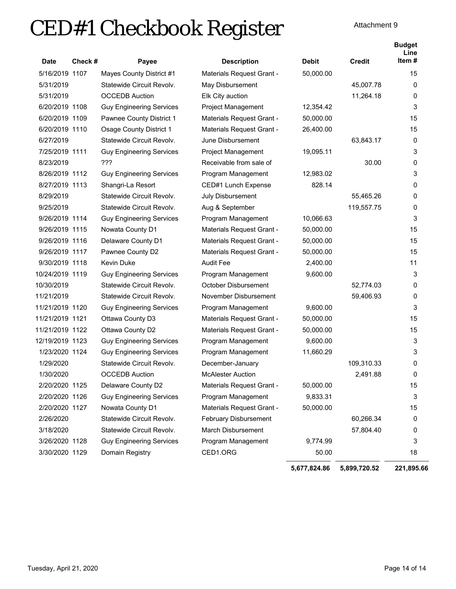# CED#1 Checkbook Register

|                 |        |                                 |                              | <b>Debit</b> | <b>Credit</b> | <b>Budget</b><br>Line<br>Item# |
|-----------------|--------|---------------------------------|------------------------------|--------------|---------------|--------------------------------|
| <b>Date</b>     | Check# | Payee                           | <b>Description</b>           |              |               |                                |
| 5/16/2019 1107  |        | Mayes County District #1        | Materials Request Grant -    | 50,000.00    |               | 15                             |
| 5/31/2019       |        | Statewide Circuit Revolv.       | May Disbursement             |              | 45,007.78     | 0                              |
| 5/31/2019       |        | <b>OCCEDB</b> Auction           | Elk City auction             |              | 11,264.18     | 0                              |
| 6/20/2019 1108  |        | <b>Guy Engineering Services</b> | Project Management           | 12,354.42    |               | 3                              |
| 6/20/2019 1109  |        | Pawnee County District 1        | Materials Request Grant -    | 50,000.00    |               | 15                             |
| 6/20/2019 1110  |        | <b>Osage County District 1</b>  | Materials Request Grant -    | 26,400.00    |               | 15                             |
| 6/27/2019       |        | Statewide Circuit Revolv.       | June Disbursement            |              | 63,843.17     | 0                              |
| 7/25/2019 1111  |        | <b>Guy Engineering Services</b> | <b>Project Management</b>    | 19,095.11    |               | 3                              |
| 8/23/2019       |        | ???                             | Receivable from sale of      |              | 30.00         | 0                              |
| 8/26/2019 1112  |        | <b>Guy Engineering Services</b> | Program Management           | 12,983.02    |               | 3                              |
| 8/27/2019 1113  |        | Shangri-La Resort               | CED#1 Lunch Expense          | 828.14       |               | 0                              |
| 8/29/2019       |        | Statewide Circuit Revolv.       | July Disbursement            |              | 55,465.26     | 0                              |
| 9/25/2019       |        | Statewide Circuit Revolv.       | Aug & September              |              | 119,557.75    | 0                              |
| 9/26/2019 1114  |        | <b>Guy Engineering Services</b> | Program Management           | 10,066.63    |               | 3                              |
| 9/26/2019 1115  |        | Nowata County D1                | Materials Request Grant -    | 50,000.00    |               | 15                             |
| 9/26/2019 1116  |        | Delaware County D1              | Materials Request Grant -    | 50,000.00    |               | 15                             |
| 9/26/2019 1117  |        | Pawnee County D2                | Materials Request Grant -    | 50,000.00    |               | 15                             |
| 9/30/2019 1118  |        | Kevin Duke                      | <b>Audit Fee</b>             | 2,400.00     |               | 11                             |
| 10/24/2019 1119 |        | <b>Guy Engineering Services</b> | Program Management           | 9,600.00     |               | 3                              |
| 10/30/2019      |        | Statewide Circuit Revolv.       | October Disbursement         |              | 52,774.03     | 0                              |
| 11/21/2019      |        | Statewide Circuit Revolv.       | November Disbursement        |              | 59,406.93     | 0                              |
| 11/21/2019 1120 |        | <b>Guy Engineering Services</b> | Program Management           | 9,600.00     |               | 3                              |
| 11/21/2019 1121 |        | Ottawa County D3                | Materials Request Grant -    | 50,000.00    |               | 15                             |
| 11/21/2019 1122 |        | Ottawa County D2                | Materials Request Grant -    | 50,000.00    |               | 15                             |
| 12/19/2019 1123 |        | <b>Guy Engineering Services</b> | Program Management           | 9,600.00     |               | 3                              |
| 1/23/2020 1124  |        | <b>Guy Engineering Services</b> | Program Management           | 11,660.29    |               | 3                              |
| 1/29/2020       |        | Statewide Circuit Revolv.       | December-January             |              | 109,310.33    | 0                              |
| 1/30/2020       |        | <b>OCCEDB Auction</b>           | <b>McAlester Auction</b>     |              | 2,491.88      | 0                              |
| 2/20/2020 1125  |        | Delaware County D2              | Materials Request Grant -    | 50,000.00    |               | 15                             |
| 2/20/2020 1126  |        | <b>Guy Engineering Services</b> | Program Management           | 9,833.31     |               | 3                              |
| 2/20/2020 1127  |        | Nowata County D1                | Materials Request Grant -    | 50,000.00    |               | 15                             |
| 2/26/2020       |        | Statewide Circuit Revolv.       | <b>February Disbursement</b> |              | 60,266.34     | 0                              |
| 3/18/2020       |        | Statewide Circuit Revolv.       | <b>March Disbursement</b>    |              | 57,804.40     | 0                              |
| 3/26/2020 1128  |        | <b>Guy Engineering Services</b> | Program Management           | 9,774.99     |               | 3                              |
| 3/30/2020 1129  |        | Domain Registry                 | CED1.ORG                     | 50.00        |               | 18                             |
|                 |        |                                 |                              | 5,677,824.86 | 5,899,720.52  | 221,895.66                     |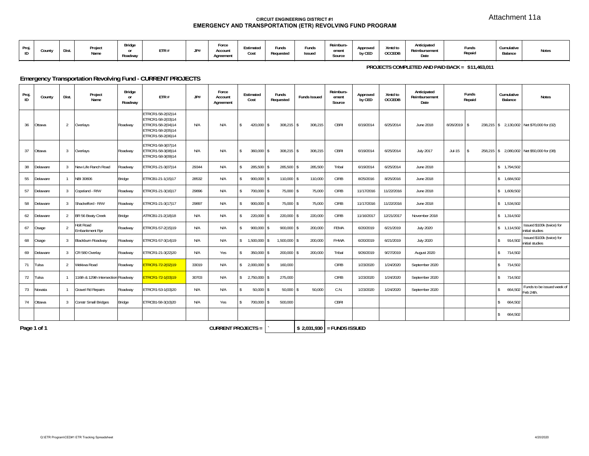Attachment 11a

#### **CIRCUIT ENGINEERING DISTRICT #1EMERGENCY AND TRANSPORTATION (ETR) REVOLVING FUND PROGRAM**

| Proi.<br>ID | Count | Dist | Projec<br>Name | Bridge<br>$\mathbf{r}$<br>Roadway | ETR# | ID#<br>JI # | Force<br>0.001<br>nuuui<br>Agreement | Estimated<br>Cost | Funds<br>Requested | Funds<br>Issued | Reimburs-<br>ement<br>Source | Approved<br>by CED | Xmtd to<br>OCCEDB | Anticipated<br>Reimbursement<br>Date | Funds<br>Repaid | Cumulative<br>Balance<br>. | Notes |
|-------------|-------|------|----------------|-----------------------------------|------|-------------|--------------------------------------|-------------------|--------------------|-----------------|------------------------------|--------------------|-------------------|--------------------------------------|-----------------|----------------------------|-------|
|-------------|-------|------|----------------|-----------------------------------|------|-------------|--------------------------------------|-------------------|--------------------|-----------------|------------------------------|--------------------|-------------------|--------------------------------------|-----------------|----------------------------|-------|

**PROJECTS COMPLETED AND PAID BACK = \$11,463,011** 

## **Emergency Transportation Revolving Fund - CURRENT PROJECTS**

| Proj.<br>ID | County      | Dist.          | Project<br>Name                           | <b>Bridge</b><br>or<br>Roadway | ETR#                                                                                                  | JP#   | Force<br>Account<br>Agreement | Estimated<br>Cost                | Funds<br>Requested | <b>Funds Issued</b>         | Reimburs-<br>ement<br>Source | Approved<br>by CED | Xmtd to<br><b>OCCEDB</b> | Anticipated<br>Reimbursement<br>Date | Funds<br>Repaid | Cumulative<br>Balance    | <b>Notes</b>                                 |
|-------------|-------------|----------------|-------------------------------------------|--------------------------------|-------------------------------------------------------------------------------------------------------|-------|-------------------------------|----------------------------------|--------------------|-----------------------------|------------------------------|--------------------|--------------------------|--------------------------------------|-----------------|--------------------------|----------------------------------------------|
| 36          | Ottawa      | 2              | Overlays                                  | Roadway                        | ETRCR1-58-2(02)14<br>ETRCR1-58-2(03)14<br>ETRCR1-58-2(04)14<br>ETRCR1-58-2(05)14<br>ETRCR1-58-2(06)14 | N/A   | N/A                           | $\mathsf{\$}$<br>$420,000$ \$    | $308,215$ \$       | 308,215                     | CBRI                         | 6/19/2014          | 6/25/2014                | June 2018                            | $8/26/2019$ \$  |                          | 238,215 \$ 2,130,002 Net \$70,000 for (02)   |
| 37          | Ottawa      | 3              | Overlays                                  | Roadway                        | ETRCR1-58-3(07)14<br>ETRCR1-58-3(08)14<br>ETRCR1-58-3(09)14                                           | N/A   | N/A                           | $\mathbf{s}$<br>$360,000$ \$     | 308,215 \$         | 308,215                     | CBRI                         | 6/19/2014          | 6/25/2014                | <b>July 2017</b>                     | $Jul-15$        |                          | 258,215 \$ 2,080,002 Net \$50,000 for (08)   |
| 38          | Delaware    | $\overline{3}$ | New Life Ranch Road                       | Roadway                        | ETRCR1-21-3(07)14                                                                                     | 29344 | N/A                           | 285,500 \$<br>$\mathsf{\$}$      | 285,500 \$         | 285,500                     | Tribal                       | 6/19/2014          | 6/25/2014                | June 2018                            |                 | \$ 1,794,502             |                                              |
| 55          | Delaware    | $\overline{1}$ | NBI 30806                                 | Bridge                         | ETRCB1-21-1(15)17                                                                                     | 28532 | N/A                           | 900,000 \$<br>$\hat{\mathbf{x}}$ | 110,000 \$         | 110,000                     | <b>CIRB</b>                  | 8/25/2016          | 8/25/2016                | June 2018                            |                 | \$1,684,502              |                                              |
| 57          | Delaware    | $\overline{3}$ | Copeland - R/W                            | Roadway                        | ETRCR1-21-3(16)17                                                                                     | 29896 | N/A                           | $\mathbf{s}$<br>700,000 \$       | 75,000 \$          | 75,000                      | <b>CIRB</b>                  | 11/17/2016         | 11/22/2016               | June 2018                            |                 | \$1,609,502              |                                              |
| 58          | Delaware    | 3              | Shackelford - R/W                         | Roadway                        | ETRCR1-21-3(17)17                                                                                     | 29897 | N/A                           | $\mathbf{s}$<br>900,000 \$       | 75,000 \$          | 75.000                      | <b>CIRB</b>                  | 11/17/2016         | 11/22/2016               | June 2018                            |                 | \$1.534.502              |                                              |
| 62          | Delaware    | 2              | BR 56 Beaty Creek                         | Bridge                         | ATRCB1-21-2(18)18                                                                                     | N/A   | N/A                           | $\mathsf{\$}$<br>220,000 \$      | 220,000 \$         | 220,000                     | <b>CIRB</b>                  | 11/16/2017         | 12/21/2017               | November 2018                        |                 | \$1,314,502              |                                              |
| 67          | Osage       | $\overline{2}$ | <b>Holt Road</b><br><b>Embankment Rpr</b> | Roadway                        | ETRCR1-57-2(15)19                                                                                     | N/A   | N/A                           | $900,000$ \$<br>\$               | $900,000$ \$       | 200,000                     | FEMA                         | 6/20/2019          | 6/21/2019                | <b>July 2020</b>                     |                 | \$1.114.502              | Issued \$100k (twice) for<br>nitial studies  |
| 68          | Osage       | 3              | Blackburn Roadway                         | Roadway                        | ETRCR1-57-3(14)19                                                                                     | N/A   | N/A                           | 1,500,000<br>$\mathbb{S}$        | 1,500,000 \$       | 200,000                     | FHWA                         | 6/20/2019          | 6/21/2019                | <b>July 2020</b>                     |                 | 914,502<br>$\mathsf{s}$  | Issued \$100k (twice) for<br>initial studies |
| 69          | Delaware    | $\overline{3}$ | CR 580 Overlay                            | Roadway                        | ETRCR1-21-3(22)20                                                                                     | N/A   | Yes                           | $350,000$ \$<br>$\mathsf{\$}$    | $200,000$ \$       | 200,000                     | Tribal                       | 9/26/2019          | 9/27/2019                | August 2020                          |                 | \$714.502                |                                              |
| 71          | Tulsa       | 2              | Wekiwa Road                               | Roadway                        | ETRCR1-72-2(02)19                                                                                     | 33019 | N/A                           | $1\sqrt{5}$<br>2,000,000 \$      | 160,000            |                             | <b>CIRB</b>                  | 1/23/2020          | 1/24/2020                | September 2020                       |                 | \$714,502                |                                              |
| 72          | Tulsa       |                | 116th & 129th Intersection Roadway        |                                | ETRCR1-72-1(03)19                                                                                     | 30703 | N/A                           | $$2,750,000$ \$                  | 275,000            |                             | <b>CIRB</b>                  | 1/23/2020          | 1/24/2020                | September 2020                       |                 | \$714,502                |                                              |
| 73          | Nowata      | $\mathbf{1}$   | <b>Gravel Rd Repairs</b>                  | Roadway                        | ETRCR1-53-1(03)20                                                                                     | N/A   | N/A                           | $50,000$ \$<br>-S.               | $50,000$ \$        | 50.000                      | C.N.                         | 1/23/2020          | 1/24/2020                | September 2020                       |                 | 664,502<br>\$            | Funds to be issued week of<br>Feb 24th.      |
| 74          | Ottawa      | $\overline{3}$ | <b>Constr Small Bridges</b>               | <b>Bridge</b>                  | ETRCB1-58-3(10)20                                                                                     | N/A   | Yes                           | $\mathsf{\$}$<br>700,000 \$      | 500,000            |                             | CBRI                         |                    |                          |                                      |                 | 664,502<br>$\mathsf{\$}$ |                                              |
|             |             |                |                                           |                                |                                                                                                       |       |                               |                                  |                    |                             |                              |                    |                          |                                      |                 | 664,502<br>$\mathsf{\$}$ |                                              |
|             | Page 1 of 1 |                |                                           |                                |                                                                                                       |       | <b>CURRENT PROJECTS =</b>     |                                  |                    | $$2.031.930$ = FUNDS ISSUED |                              |                    |                          |                                      |                 |                          |                                              |

 **= FUNDS ISSUED**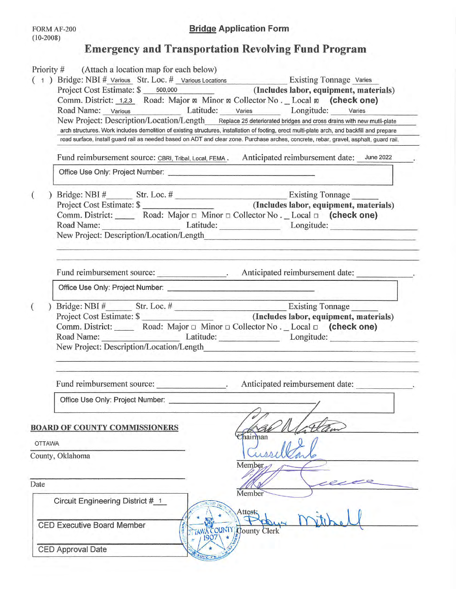# **Emergency and Transportation Revolving Fund Program**

|                       | Comm. District: 1,2,3 Road: Major & Minor & Collector No. Local & (check one)                                                                                                                                                        |  |
|-----------------------|--------------------------------------------------------------------------------------------------------------------------------------------------------------------------------------------------------------------------------------|--|
|                       | Road Name: Various Latitude: Varies Longitude: Varies                                                                                                                                                                                |  |
|                       | New Project: Description/Location/Length Replace 25 deteriorated bridges and cross drains with new mutli-plate                                                                                                                       |  |
|                       | arch structures. Work includes demolition of existing structures, installation of footing, erect multi-plate arch, and backfill and prepare                                                                                          |  |
|                       | road surface, install guard rail as needed based on ADT and clear zone. Purchase arches, concrete, rebar, gravel, asphalt, guard rail.                                                                                               |  |
|                       | Fund reimbursement source: CBRI, Tribal, Local, FEMA . Anticipated reimbursement date: June 2022                                                                                                                                     |  |
|                       |                                                                                                                                                                                                                                      |  |
|                       |                                                                                                                                                                                                                                      |  |
|                       | Road Name: Latitude: Longitude: Longitude:                                                                                                                                                                                           |  |
|                       |                                                                                                                                                                                                                                      |  |
|                       | Fund reimbursement source: _________________. Anticipated reimbursement date: ____________.                                                                                                                                          |  |
|                       | Office Use Only: Project Number: <u>Contract Contract Contract Contract Contract Contract Contract Contract Contract Contract Contract Contract Contract Contract Contract Contract Contract Contract Contract Contract Contract</u> |  |
|                       |                                                                                                                                                                                                                                      |  |
|                       |                                                                                                                                                                                                                                      |  |
|                       | Comm. District: Road: Major □ Minor □ Collector No. _ Local □ (check one)<br>Road Name: Latitude: Longitude: Longitude:                                                                                                              |  |
|                       | Fund reimbursement source:<br>Anticipated reimbursement date:                                                                                                                                                                        |  |
|                       | Office Use Only: Project Number:                                                                                                                                                                                                     |  |
|                       | <b>BOARD OF COUNTY COMMISSIONERS</b><br>hairman                                                                                                                                                                                      |  |
|                       |                                                                                                                                                                                                                                      |  |
|                       | County, Oklahoma<br>Member                                                                                                                                                                                                           |  |
|                       |                                                                                                                                                                                                                                      |  |
| <b>OTTAWA</b><br>Date | Member<br>Circuit Engineering District # 1<br>Attest:                                                                                                                                                                                |  |
|                       | <b>CED Executive Board Member</b><br>AWA COUNTY County Clerk<br>1907                                                                                                                                                                 |  |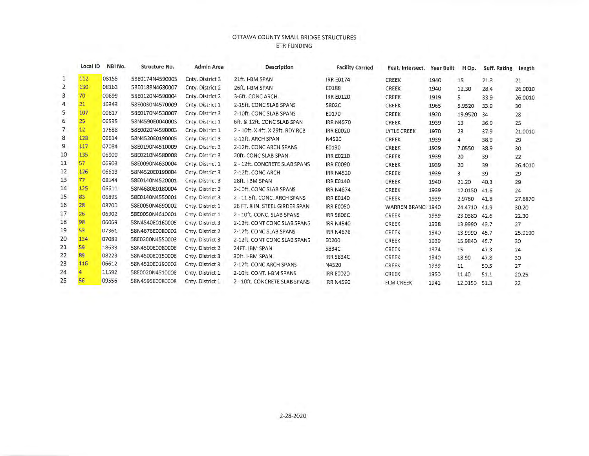### OTTAWA COUNTY SMALL BRIDGE STRUCTURES **ETR FUNDING**

|                | Local ID        | NBI No. | Structure No.   | Admin Area       | <b>Description</b>               | <b>Facility Carried</b> | Feat. Intersect.   | <b>Year Built</b> | H Op.   | Suff. Rating | length  |
|----------------|-----------------|---------|-----------------|------------------|----------------------------------|-------------------------|--------------------|-------------------|---------|--------------|---------|
| 1              | 112             | 08155   | 58E0174N4590005 | Cnty. District 3 | 21ft. I-BM SPAN                  | <b>IRR E0174</b>        | CREEK              | 1940              | 15      | 21.3         | 21      |
| $\overline{2}$ | 130             | 08163   | 58E0188N4680007 | Cnty. District 2 | 26ft. I-BM SPAN                  | E0188                   | <b>CREEK</b>       | 1940              | 12.30   | 28.4         | 26.0010 |
| 3              | 70              | 00699   | 58E0120N4590004 | Cnty. District 2 | 3-6ft. CONC ARCH.                | <b>IRR E0120</b>        | <b>CREEK</b>       | 1919              | 9       | 33.9         | 26.0010 |
| 4              | 21              | 16343   | 58E0030N4570009 | Cnty. District 1 | 2-15ft. CONC SLAB SPANS          | 5802C                   | CREEK              | 1965              | 5.9520  | 33.9         | 30      |
| 5              | 107             | 00817   | 58E0170N4530007 | Cnty. District 3 | 2-10ft. CONC SLAB SPANS          | E0170                   | <b>CREEK</b>       | 1920              | 19.9520 | 34           | 28      |
| 6              | 25 <sub>2</sub> | 06595   | 58N4590E0040003 | Cnty. District 1 | 6ft. & 12ft. CONC SLAB SPAN      | <b>IRR N4570</b>        | <b>CREEK</b>       | 1939              | 13      | 36.9         | 25      |
| 7              | 12              | 17688   | 58E0020N4590003 | Cnty. District 1 | 2 - 10ft. X 4ft. X 29ft. RDY RCB | <b>IRR E0020</b>        | <b>LYTLE CREEK</b> | 1970              | 23      | 37.9         | 21,0010 |
| 8              | 128             | 06614   | 58N4520E0190005 | Cnty. District 3 | 2-12ft. ARCH SPAN                | N4520                   | <b>CREEK</b>       | 1939              | 4       | 38.9         | 29      |
| 9              | 117             | 07084   | 58E0190N4510009 | Cnty. District 3 | 2-12ft. CONC ARCH SPANS          | E0190                   | <b>CREEK</b>       | 1939              | 7.0550  | 38.9         | 30      |
| 10             | 135             | 06900   | 58E0210N4580008 | Cnty. District 3 | 20ft. CONC SLAB SPAN             | <b>IRR E0210</b>        | <b>CREEK</b>       | 1939              | 20      | 39           | 22      |
| 11             | 57              | 06903   | 58E0090N4630004 | Cnty. District 1 | 2 - 12ft. CONCRETE SLAB SPANS    | <b>IRR E0090</b>        | <b>CREEK</b>       | 1939              | 20      | 39           | 26.4010 |
| 12             | 126             | 06613   | 58N4520E0190004 | Cnty. District 3 | 2-12ft. CONC ARCH                | <b>IRR N4520</b>        | CREEK              | 1939              | 3       | 39           | 29      |
| 13             | 77              | 08144   | 58E0140N4520001 | Cnty. District 3 | 28ft. I BM SPAN                  | <b>IRR E0140</b>        | <b>CREEK</b>       | 1940              | 21.20   | 40.3         | 29      |
| 14             | 125             | 06611   | 58N4680E0180004 | Cnty. District 2 | 2-10ft. CONC SLAB SPANS          | <b>IRR N4674</b>        | <b>CREEK</b>       | 1939              | 12.0150 | 41.6         | 24      |
| 15             | 83              | 06895   | 58E0140N4550001 | Cnty. District 3 | 2 - 11.5ft. CONC. ARCH SPANS     | <b>IRR E0140</b>        | <b>CREEK</b>       | 1939              | 2.9760  | 41.8         | 27.8870 |
| 16             | 28              | 08700   | 58E0050N4690002 | Cnty. District 1 | 26 FT. 8 IN. STEEL GIRDER SPAN   | <b>IRR E0050</b>        | WARREN BRANCH 1940 |                   | 24,4710 | 41.9         | 30.20   |
| 17             | 26              | 06902   | 58E0050N4610001 | Cnty. District 1 | 2 - 10ft. CONC. SLAB SPANS       | <b>IRR 5806C</b>        | <b>CREEK</b>       | 1939              | 23.0380 | 42.6         | 22.30   |
| 18             | 98              | 06069   | 58N4540E0160005 | Cnty. District 3 | 2-12ft. CONT CONC SLAB SPANS     | <b>IRR N4540</b>        | <b>CREEK</b>       | 1938              | 13.9990 | 43.7         | 27      |
| 19             | 53              | 07361   | 58N4676E0080002 | Cnty. District 2 | 2-12ft. CONC SLAB SPANS          | <b>IRR N4676</b>        | <b>CREEK</b>       | 1940              | 13.9990 | 45.7         | 25,9190 |
| 20             | 134             | 07089   | 58E0200N4550003 | Cnty. District 3 | 2-12ft. CONT CONC SLAB SPANS     | E0200                   | CREEK              | 1939              | 15.9840 | 45.7         | 30      |
| 21             | 59              | 18633   | 58N4500E0080006 | Cnty. District 2 | 24FT. IBM SPAN                   | 5834C                   | CREEK              | 1974              | 15      | 47.3         | 24      |
| 22             | 89              | 08223   | 58N4500E0150006 | Cnty. District 3 | 30ft. I-BM SPAN                  | <b>IRR 5834C</b>        | CREEK              | 1940              | 18.90   | 47.8         | 30      |
| 23             | 116             | 06612   | 58N4520E0190002 | Cnty. District 3 | 2-12ft. CONC ARCH SPANS          | N4520                   | <b>CREEK</b>       | 1939              | 11      | 50.5         | 27      |
| 24             |                 | 11592   | 58E0020N4510008 | Cnty. District 1 | 2-10ft. CONT. I-BM SPANS         | <b>IRR E0020</b>        | CREEK              | 1950              | 11.40   | 51.1         | 20.25   |
| 25             | 56              | 09556   | 58N4595E0080008 | Cnty. District 1 | 2 - 10ft. CONCRETE SLAB SPANS    | <b>IRR N4590</b>        | <b>ELM CREEK</b>   | 1941              | 12.0150 | 51.3         | 22      |
|                |                 |         |                 |                  |                                  |                         |                    |                   |         |              |         |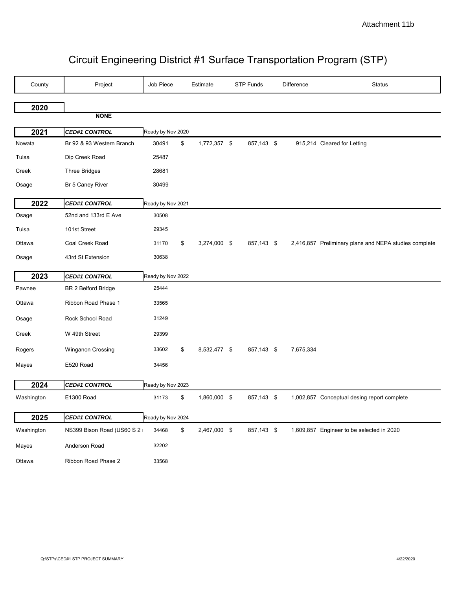# Circuit Engineering District #1 Surface Transportation Program (STP)

| County     | Project                      | Job Piece         | Estimate           | <b>STP Funds</b> | Difference | <b>Status</b>                                         |
|------------|------------------------------|-------------------|--------------------|------------------|------------|-------------------------------------------------------|
| 2020       |                              |                   |                    |                  |            |                                                       |
|            | <b>NONE</b>                  |                   |                    |                  |            |                                                       |
| 2021       | <b>CED#1 CONTROL</b>         | Ready by Nov 2020 |                    |                  |            |                                                       |
| Nowata     | Br 92 & 93 Western Branch    | 30491             | \$<br>1,772,357 \$ | 857,143 \$       |            | 915,214 Cleared for Letting                           |
| Tulsa      | Dip Creek Road               | 25487             |                    |                  |            |                                                       |
| Creek      | <b>Three Bridges</b>         | 28681             |                    |                  |            |                                                       |
| Osage      | Br 5 Caney River             | 30499             |                    |                  |            |                                                       |
| 2022       | <b>CED#1 CONTROL</b>         | Ready by Nov 2021 |                    |                  |            |                                                       |
| Osage      | 52nd and 133rd E Ave         | 30508             |                    |                  |            |                                                       |
| Tulsa      | 101st Street                 | 29345             |                    |                  |            |                                                       |
| Ottawa     | Coal Creek Road              | 31170             | \$<br>3,274,000 \$ | 857,143 \$       |            | 2,416,857 Preliminary plans and NEPA studies complete |
| Osage      | 43rd St Extension            | 30638             |                    |                  |            |                                                       |
| 2023       | <b>CED#1 CONTROL</b>         | Ready by Nov 2022 |                    |                  |            |                                                       |
| Pawnee     | <b>BR 2 Belford Bridge</b>   | 25444             |                    |                  |            |                                                       |
| Ottawa     | Ribbon Road Phase 1          | 33565             |                    |                  |            |                                                       |
| Osage      | Rock School Road             | 31249             |                    |                  |            |                                                       |
| Creek      | W 49th Street                | 29399             |                    |                  |            |                                                       |
| Rogers     | Winganon Crossing            | 33602             | \$<br>8,532,477 \$ | 857,143 \$       | 7,675,334  |                                                       |
| Mayes      | E520 Road                    | 34456             |                    |                  |            |                                                       |
| 2024       | <b>CED#1 CONTROL</b>         | Ready by Nov 2023 |                    |                  |            |                                                       |
| Washington | E1300 Road                   | 31173             | \$<br>1,860,000 \$ | 857,143 \$       |            | 1,002,857 Conceptual desing report complete           |
| 2025       | <b>CED#1 CONTROL</b>         | Ready by Nov 2024 |                    |                  |            |                                                       |
| Washington | NS399 Bison Road (US60 S 2 i | 34468             | \$<br>2,467,000 \$ | 857,143 \$       |            | 1,609,857 Engineer to be selected in 2020             |
| Mayes      | Anderson Road                | 32202             |                    |                  |            |                                                       |
| Ottawa     | Ribbon Road Phase 2          | 33568             |                    |                  |            |                                                       |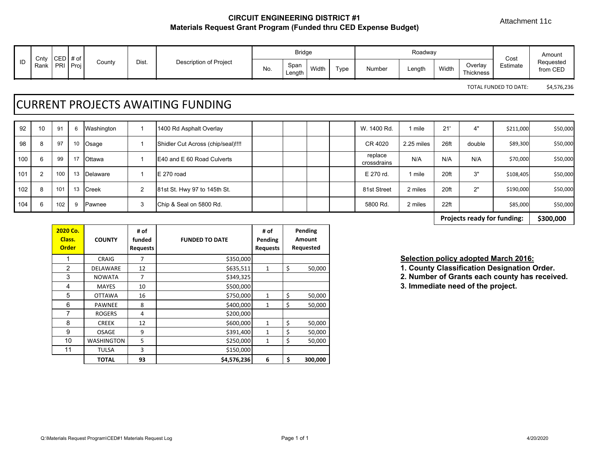Attachment 11c

## **CIRCUIT ENGINEERING DISTRICT #1 Materials Request Grant Program (Funded thru CED Expense Budget)**

|                      | Cnty CED |            | # of |        |       |                        |     | <b>Bridge</b>  |       |           |               | Roadway |       |                      | Cost     | Amount                |
|----------------------|----------|------------|------|--------|-------|------------------------|-----|----------------|-------|-----------|---------------|---------|-------|----------------------|----------|-----------------------|
| $\blacksquare$<br>שו | Rank     | <b>PRI</b> | Proj | County | Dist. | Description of Project | No. | Span<br>∟ength | Width | -<br>Type | <b>Number</b> | Length  | Width | Overlay<br>Thickness | Estimate | Requested<br>from CED |

TOTAL FUNDED TO DATE: \$4,576,236

# CURRENT PROJECTS AWAITING FUNDING

| 92  | 10 | 91  | -6 | Washington    |   | 1400 Rd Asphalt Overlay            |  |  | W. 1400 Rd.            | mile       | 21'  | 4"     | \$211,000 | \$50,000 |
|-----|----|-----|----|---------------|---|------------------------------------|--|--|------------------------|------------|------|--------|-----------|----------|
| 98  | 8  | 97  | 10 | Osage         |   | Shidler Cut Across (chip/seal)!!!! |  |  | CR 4020                | 2.25 miles | 26ft | double | \$89,300  | \$50,000 |
| 100 | 6  | 99  | 17 | <b>Ottawa</b> |   | <b>IE40 and E 60 Road Culverts</b> |  |  | replace<br>crossdrains | N/A        | N/A  | N/A    | \$70,000  | \$50,000 |
| 101 |    | 100 | 13 | Delaware      |   | IE 270 road                        |  |  | E 270 rd.              | mile       | 20ft | 3"     | \$108,405 | \$50,000 |
| 102 | 8  | 101 | 13 | Creek         | 2 | 81st St. Hwy 97 to 145th St.       |  |  | 81st Street            | 2 miles    | 20ft | 2"     | \$190,000 | \$50,000 |
| 104 | 6  | 102 | ʻ6 | Pawnee        | 3 | Chip & Seal on 5800 Rd.            |  |  | 5800 Rd.               | 2 miles    | 22ft |        | \$85,000  | \$50,000 |

**\$300,000 Projects ready for funding:**

| 2020 Co.<br>Class.<br><b>Order</b> | <b>COUNTY</b>     | # of<br>funded<br><b>Requests</b> | <b>FUNDED TO DATE</b> | # of<br>Pending<br><b>Requests</b> | Pending<br><b>Amount</b><br>Requested |
|------------------------------------|-------------------|-----------------------------------|-----------------------|------------------------------------|---------------------------------------|
|                                    | <b>CRAIG</b>      | 7                                 | \$350,000             |                                    |                                       |
| 2                                  | <b>DELAWARE</b>   | 12                                | \$635,511             | $\mathbf{1}$                       | \$<br>50,000                          |
| 3                                  | <b>NOWATA</b>     | 7                                 | \$349,325             |                                    |                                       |
| 4                                  | <b>MAYES</b>      | 10                                | \$500,000             |                                    |                                       |
| 5                                  | <b>OTTAWA</b>     | 16                                | \$750,000             | $\mathbf{1}$                       | \$<br>50,000                          |
| 6                                  | <b>PAWNEE</b>     | 8                                 | \$400,000             | 1                                  | \$<br>50,000                          |
| 7                                  | <b>ROGERS</b>     | 4                                 | \$200,000             |                                    |                                       |
| 8                                  | <b>CREEK</b>      | 12                                | \$600,000             | $\mathbf{1}$                       | \$<br>50,000                          |
| 9                                  | <b>OSAGE</b>      | 9                                 | \$391,400             | $\mathbf{1}$                       | \$<br>50,000                          |
| 10                                 | <b>WASHINGTON</b> | 5                                 | \$250,000             | 1                                  | \$<br>50,000                          |
| 11                                 | <b>TULSA</b>      | 3                                 | \$150,000             |                                    |                                       |
|                                    | <b>TOTAL</b>      | 93                                | \$4,576,236           | 6                                  | \$<br>300,000                         |

## **Selection policy adopted March 2016:**

**1. County Classification Designation Order.** 

2. Number of Grants each county has received.

3. Immediate need of the project.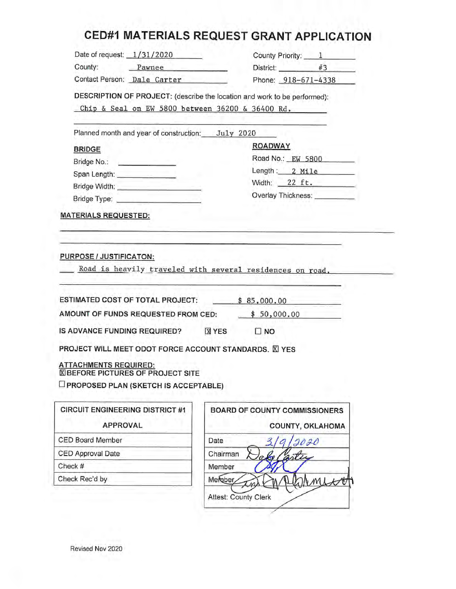# **CED#1 MATERIALS REQUEST GRANT APPLICATION**

| County:<br>District: #3<br>Pawnee<br>Contact Person: Dale Carter<br>Phone: 918-671-4338<br>DESCRIPTION OF PROJECT: (describe the location and work to be performed):<br>Chip & Seal on EW 5800 between 36200 & 36400 Rd.<br>Planned month and year of construction: July 2020<br><b>ROADWAY</b><br><b>BRIDGE</b><br>Bridge No.: <b>Example 20</b><br>Span Length: _______________<br>Bridge Type: <b>Contract Contract Contract Contract Contract Contract Contract Contract Contract Contract Contract Contract Contract Contract Contract Contract Contract Contract Contract Contract Contract Contract Contract C</b><br><b>MATERIALS REQUESTED:</b><br>Road is heavily traveled with several residences on road.<br>\$85,000.00<br>\$50,000.00<br><b>X</b> YES<br>$\square$ NO<br><b>BOARD OF COUNTY COMMISSIONERS</b><br><b>APPROVAL</b><br>COUNTY, OKLAHOMA<br>Date<br>2020 | Chairman<br>Member<br>Mergber,                                                                                                                                                                                                                                                                           | DRMILLE<br><b>Attest: County Clerk</b> | Road No.: EW 5800<br>Length: 2 Mile<br>Width: $22 \text{ ft}$ .<br>Overlay Thickness: Universely |  |
|------------------------------------------------------------------------------------------------------------------------------------------------------------------------------------------------------------------------------------------------------------------------------------------------------------------------------------------------------------------------------------------------------------------------------------------------------------------------------------------------------------------------------------------------------------------------------------------------------------------------------------------------------------------------------------------------------------------------------------------------------------------------------------------------------------------------------------------------------------------------------------|----------------------------------------------------------------------------------------------------------------------------------------------------------------------------------------------------------------------------------------------------------------------------------------------------------|----------------------------------------|--------------------------------------------------------------------------------------------------|--|
|                                                                                                                                                                                                                                                                                                                                                                                                                                                                                                                                                                                                                                                                                                                                                                                                                                                                                    |                                                                                                                                                                                                                                                                                                          |                                        |                                                                                                  |  |
|                                                                                                                                                                                                                                                                                                                                                                                                                                                                                                                                                                                                                                                                                                                                                                                                                                                                                    |                                                                                                                                                                                                                                                                                                          |                                        |                                                                                                  |  |
|                                                                                                                                                                                                                                                                                                                                                                                                                                                                                                                                                                                                                                                                                                                                                                                                                                                                                    |                                                                                                                                                                                                                                                                                                          |                                        |                                                                                                  |  |
|                                                                                                                                                                                                                                                                                                                                                                                                                                                                                                                                                                                                                                                                                                                                                                                                                                                                                    |                                                                                                                                                                                                                                                                                                          |                                        |                                                                                                  |  |
|                                                                                                                                                                                                                                                                                                                                                                                                                                                                                                                                                                                                                                                                                                                                                                                                                                                                                    |                                                                                                                                                                                                                                                                                                          |                                        |                                                                                                  |  |
|                                                                                                                                                                                                                                                                                                                                                                                                                                                                                                                                                                                                                                                                                                                                                                                                                                                                                    |                                                                                                                                                                                                                                                                                                          |                                        |                                                                                                  |  |
|                                                                                                                                                                                                                                                                                                                                                                                                                                                                                                                                                                                                                                                                                                                                                                                                                                                                                    |                                                                                                                                                                                                                                                                                                          |                                        |                                                                                                  |  |
|                                                                                                                                                                                                                                                                                                                                                                                                                                                                                                                                                                                                                                                                                                                                                                                                                                                                                    |                                                                                                                                                                                                                                                                                                          |                                        |                                                                                                  |  |
|                                                                                                                                                                                                                                                                                                                                                                                                                                                                                                                                                                                                                                                                                                                                                                                                                                                                                    |                                                                                                                                                                                                                                                                                                          |                                        |                                                                                                  |  |
|                                                                                                                                                                                                                                                                                                                                                                                                                                                                                                                                                                                                                                                                                                                                                                                                                                                                                    |                                                                                                                                                                                                                                                                                                          |                                        |                                                                                                  |  |
|                                                                                                                                                                                                                                                                                                                                                                                                                                                                                                                                                                                                                                                                                                                                                                                                                                                                                    |                                                                                                                                                                                                                                                                                                          |                                        |                                                                                                  |  |
|                                                                                                                                                                                                                                                                                                                                                                                                                                                                                                                                                                                                                                                                                                                                                                                                                                                                                    | <b>PURPOSE / JUSTIFICATON:</b><br><b>ESTIMATED COST OF TOTAL PROJECT:</b><br>AMOUNT OF FUNDS REQUESTED FROM CED:<br><b>CIRCUIT ENGINEERING DISTRICT #1</b>                                                                                                                                               |                                        |                                                                                                  |  |
|                                                                                                                                                                                                                                                                                                                                                                                                                                                                                                                                                                                                                                                                                                                                                                                                                                                                                    |                                                                                                                                                                                                                                                                                                          |                                        |                                                                                                  |  |
|                                                                                                                                                                                                                                                                                                                                                                                                                                                                                                                                                                                                                                                                                                                                                                                                                                                                                    | IS ADVANCE FUNDING REQUIRED?<br>PROJECT WILL MEET ODOT FORCE ACCOUNT STANDARDS. XI YES<br><b>ATTACHMENTS REQUIRED:</b><br><b>XIBEFORE PICTURES OF PROJECT SITE</b><br><b>IF PROPOSED PLAN (SKETCH IS ACCEPTABLE)</b><br><b>CED Board Member</b><br><b>CED Approval Date</b><br>Check #<br>Check Rec'd by |                                        |                                                                                                  |  |
|                                                                                                                                                                                                                                                                                                                                                                                                                                                                                                                                                                                                                                                                                                                                                                                                                                                                                    |                                                                                                                                                                                                                                                                                                          |                                        |                                                                                                  |  |
|                                                                                                                                                                                                                                                                                                                                                                                                                                                                                                                                                                                                                                                                                                                                                                                                                                                                                    |                                                                                                                                                                                                                                                                                                          |                                        |                                                                                                  |  |
|                                                                                                                                                                                                                                                                                                                                                                                                                                                                                                                                                                                                                                                                                                                                                                                                                                                                                    |                                                                                                                                                                                                                                                                                                          |                                        |                                                                                                  |  |
|                                                                                                                                                                                                                                                                                                                                                                                                                                                                                                                                                                                                                                                                                                                                                                                                                                                                                    |                                                                                                                                                                                                                                                                                                          |                                        |                                                                                                  |  |
|                                                                                                                                                                                                                                                                                                                                                                                                                                                                                                                                                                                                                                                                                                                                                                                                                                                                                    |                                                                                                                                                                                                                                                                                                          |                                        |                                                                                                  |  |
|                                                                                                                                                                                                                                                                                                                                                                                                                                                                                                                                                                                                                                                                                                                                                                                                                                                                                    |                                                                                                                                                                                                                                                                                                          |                                        |                                                                                                  |  |
|                                                                                                                                                                                                                                                                                                                                                                                                                                                                                                                                                                                                                                                                                                                                                                                                                                                                                    |                                                                                                                                                                                                                                                                                                          |                                        |                                                                                                  |  |
|                                                                                                                                                                                                                                                                                                                                                                                                                                                                                                                                                                                                                                                                                                                                                                                                                                                                                    |                                                                                                                                                                                                                                                                                                          |                                        |                                                                                                  |  |
|                                                                                                                                                                                                                                                                                                                                                                                                                                                                                                                                                                                                                                                                                                                                                                                                                                                                                    |                                                                                                                                                                                                                                                                                                          |                                        |                                                                                                  |  |
|                                                                                                                                                                                                                                                                                                                                                                                                                                                                                                                                                                                                                                                                                                                                                                                                                                                                                    |                                                                                                                                                                                                                                                                                                          |                                        |                                                                                                  |  |
|                                                                                                                                                                                                                                                                                                                                                                                                                                                                                                                                                                                                                                                                                                                                                                                                                                                                                    |                                                                                                                                                                                                                                                                                                          |                                        |                                                                                                  |  |
|                                                                                                                                                                                                                                                                                                                                                                                                                                                                                                                                                                                                                                                                                                                                                                                                                                                                                    |                                                                                                                                                                                                                                                                                                          |                                        |                                                                                                  |  |
|                                                                                                                                                                                                                                                                                                                                                                                                                                                                                                                                                                                                                                                                                                                                                                                                                                                                                    |                                                                                                                                                                                                                                                                                                          |                                        |                                                                                                  |  |

Revised Nov 2020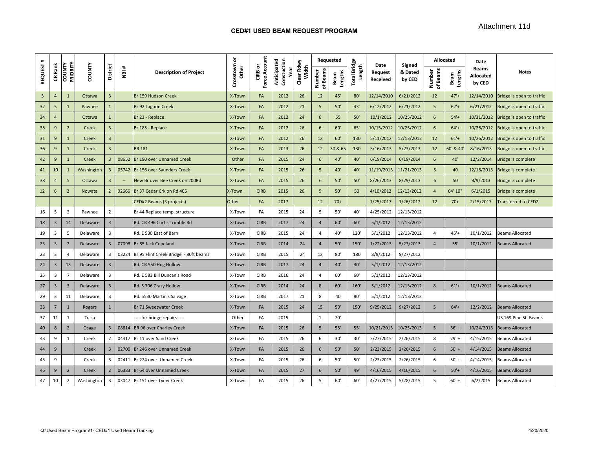| $\ddot{}$      |                |                           |               |                         |                          |                                       | ŏ                   |                            |                                   |                     |                    | Requested       |                               | Date                | Signed            | Allocated          |                 | Date                                |                            |
|----------------|----------------|---------------------------|---------------|-------------------------|--------------------------|---------------------------------------|---------------------|----------------------------|-----------------------------------|---------------------|--------------------|-----------------|-------------------------------|---------------------|-------------------|--------------------|-----------------|-------------------------------------|----------------------------|
| <b>REQUEST</b> | CR Rank        | PRIORITY<br><b>COUNTY</b> | <b>COUNTY</b> | <b>District</b>         | $\ddot{}$<br>ğ           | <b>Description of Project</b>         | Crosstown<br>ᇰ<br>Ě | Force Account<br>৯<br>CIRB | Anticipated<br>Constuction<br>yea | Clear Rdwy<br>Width | of Beams<br>Number | Lengths<br>Beam | <b>Total Bridge</b><br>Length | Request<br>Received | & Dated<br>by CED | Number<br>of Beams | Beam<br>Lengths | <b>Beams</b><br>Allocated<br>by CED | <b>Notes</b>               |
| 3              | $\overline{4}$ | $\mathbf{1}$              | Ottawa        | $\overline{3}$          |                          | Br 159 Hudson Creek                   | X-Town              | FA                         | 2012                              | 26'                 | 12                 | 45'             | 80'                           | 12/14/2010          | 6/21/2012         | 12                 | $47' +$         | 12/14/2010                          | Bridge is open to traffic  |
| 32             | 5              | $\mathbf{1}$              | Pawnee        | $\mathbf{1}$            |                          | Br 92 Lagoon Creek                    | X-Town              | FA                         | 2012                              | 21'                 | 5                  | 50'             | 43'                           | 6/12/2012           | 6/21/2012         | 5                  | $62' +$         | 6/21/2012                           | Bridge is open to traffic  |
| 34             | $\overline{4}$ |                           | Ottawa        | $\mathbf{1}$            |                          | Br 23 - Replace                       | X-Town              | FA                         | 2012                              | 24'                 | 6                  | 55              | 50'                           | 10/1/2012           | 10/25/2012        | 6                  | $54' +$         | 10/31/2012                          | Bridge is open to traffic  |
| 35             | 9              | $\overline{2}$            | Creek         | $\overline{3}$          |                          | Br 185 - Replace                      | X-Town              | FA                         | 2012                              | 26'                 | 6                  | 60'             | 65'                           | 10/15/2012          | 10/25/2012        | 6                  | $64' +$         | 10/26/2012                          | Bridge is open to traffic  |
| 31             | 9              | $\mathbf{1}$              | Creek         | $\overline{3}$          |                          |                                       | X-Town              | FA                         | 2012                              | 26'                 | 12                 | 60              | 130                           | 5/11/2012           | 12/13/2012        | 12                 | $61'$ +         | 10/26/2012                          | Bridge is open to traffic  |
| 36             | 9              | $\mathbf{1}$              | Creek         | $\overline{3}$          |                          | <b>BR 181</b>                         | X-Town              | FA                         | 2013                              | 26'                 | 12                 | 30 & 65         | 130                           | 5/16/2013           | 5/23/2013         | 12                 | 60' & 40        | 8/16/2013                           | Bridge is open to traffic  |
| 42             | 9              | $\mathbf{1}$              | Creek         | $\overline{\mathbf{3}}$ | 08652                    | Br 190 over Unnamed Creek             | Other               | FA                         | 2015                              | 24'                 | 6                  | 40'             | 40'                           | 6/19/2014           | 6/19/2014         | 6                  | 40'             | 12/2/2014                           | Bridge is complete         |
| 41             | 10             | 1                         | Washington    | $\overline{3}$          | 05742                    | Br 156 over Saunders Creek            | X-Town              | FA                         | 2015                              | 26'                 | 5                  | 40'             | 40'                           | 11/19/2013          | 11/21/2013        | 5                  | 40              | 12/18/2013                          | Bridge is complete         |
| 38             | $\overline{4}$ | 5                         | Ottawa        | $\overline{\mathbf{3}}$ | $\overline{\phantom{a}}$ | New Br over Bee Creek on 200Rd        | X-Town              | FA                         | 2015                              | 26'                 | 6                  | 50'             | 50'                           | 8/26/2013           | 8/29/2013         | 6                  | 50              | 9/9/2013                            | <b>Bridge is complete</b>  |
| 12             | 6              | $\overline{2}$            | Nowata        | $\overline{2}$          | 02666                    | Br 37 Cedar Crk on Rd 405             | X-Town              | <b>CIRB</b>                | 2015                              | 26'                 | 5                  | 50'             | 50                            | 4/10/2012           | 12/13/2012        | $\overline{4}$     | 64' 10'         | 6/1/2015                            | Bridge is complete         |
|                |                |                           |               |                         |                          | CED#2 Beams (3 projects)              | Other               | FA                         | 2017                              |                     | 12                 | $70+$           |                               | 1/25/2017           | 1/26/2017         | 12                 | $70+$           | 2/15/2017                           | <b>Fransferred to CED2</b> |
| 16             | 5              | $\overline{\mathbf{3}}$   | Pawnee        | $\overline{2}$          |                          | Br 44 Replace temp. structure         | X-Town              | FA                         | 2015                              | 24'                 | 5                  | 50'             | 40'                           | 4/25/2012           | 12/13/2012        |                    |                 |                                     |                            |
| 18             | $\overline{3}$ | 14                        | Delaware      | $\overline{3}$          |                          | Rd. CR 496 Curtis Trimble Rd          | X-Town              | <b>CIRB</b>                | 2017                              | 24'                 | $\overline{a}$     | 60              | 60'                           | 5/1/2012            | 12/13/2012        |                    |                 |                                     |                            |
| 19             | $\overline{3}$ | 5                         | Delaware      | $\overline{3}$          |                          | Rd. E 530 East of Barn                | X-Town              | <b>CIRB</b>                | 2015                              | 24'                 | $\overline{4}$     | 40'             | 120                           | 5/1/2012            | 12/13/2012        | $\overline{4}$     | $45'+$          | 10/1/2012                           | Beams Allocated            |
| 23             | $\overline{3}$ | $\overline{2}$            | Delaware      | $\overline{3}$          | 07098                    | Br 85 Jack Copeland                   | X-Town              | <b>CIRB</b>                | 2014                              | 24                  | $\overline{4}$     | 50'             | 150                           | 1/22/2013           | 5/23/2013         | $\overline{4}$     | 55'             | 10/1/2012                           | <b>Beams Allocated</b>     |
| 23             | 3              | $\overline{4}$            | Delaware      | $\overline{\mathbf{3}}$ | 03224                    | Br 95 Flint Creek Bridge - 80ft beams | X-Town              | <b>CIRB</b>                | 2015                              | 24                  | 12                 | 80'             | 180                           | 8/9/2012            | 9/27/2012         |                    |                 |                                     |                            |
| 24             | $\overline{3}$ | 13                        | Delaware      | $\overline{3}$          |                          | Rd. CR 550 Hog Hollow                 | X-Town              | <b>CIRB</b>                | 2017                              | 24'                 | $\overline{4}$     | 40'             | 40'                           | 5/1/2012            | 12/13/2012        |                    |                 |                                     |                            |
| 25             | 3              | $\overline{7}$            | Delaware      | $\overline{\mathbf{3}}$ |                          | Rd. E 583 Bill Duncan's Road          | X-Town              | <b>CIRB</b>                | 2016                              | 24'                 | 4                  | 60'             | 60'                           | 5/1/2012            | 12/13/2012        |                    |                 |                                     |                            |
| 27             | $\overline{3}$ | $\overline{3}$            | Delaware      | $\overline{3}$          |                          | Rd. S 706 Crazy Hollow                | X-Town              | <b>CIRB</b>                | 2014                              | 24'                 | 8                  | 60              | 160'                          | 5/1/2012            | 12/13/2012        | $\mathbf{8}$       | $61' +$         | 10/1/2012                           | <b>Beams Allocated</b>     |
| 29             | 3              | 11                        | Delaware      | $\overline{\mathbf{3}}$ |                          | Rd. 5530 Martin's Salvage             | X-Town              | <b>CIRB</b>                | 2017                              | 21'                 | 8                  | 40              | 80'                           | 5/1/2012            | 12/13/2012        |                    |                 |                                     |                            |
| 33             | $\overline{7}$ | $\mathbf{1}$              | Rogers        | $\mathbf{1}$            |                          | Br 71 Sweetwater Creek                | X-Town              | FA                         | 2015                              | 24'                 | 15                 | 50'             | 150                           | 9/25/2012           | 9/27/2012         | 5                  | $64' +$         | 12/2/2012                           | <b>Beams Allocated</b>     |
| 37             | 11             | 1                         | Tulsa         |                         |                          | --for bridge repairs-----             | Other               | FA                         | 2015                              |                     | $\mathbf{1}$       | 70'             |                               |                     |                   |                    |                 |                                     | JS 169 Pine St. Beams      |
| 40             | 8              | $\overline{2}$            | Osage         | $\overline{\mathbf{3}}$ | 08614                    | BR 96 over Charley Creek              | X-Town              | FA                         | 2015                              | 26'                 | 5                  | 55'             | 55'                           | 10/21/2013          | 10/25/2013        | 5                  | $56' +$         | 10/24/2013                          | <b>Beams Allocated</b>     |
| 43             | 9              | $\mathbf{1}$              | Creek         | $\overline{2}$          | 04417                    | Br 11 over Sand Creek                 | X-Town              | FA                         | 2015                              | 26'                 | 6                  | 30'             | 30'                           | 2/23/2015           | 2/26/2015         | 8                  | $29' +$         | 4/15/2015                           | Beams Allocated            |
| 44             | 9              |                           | Creek         | $\overline{3}$          | 02700                    | Br 246 over Unnamed Creek             | X-Town              | FA                         | 2015                              | 26'                 | 6                  | 50'             | 50'                           | 2/23/2015           | 2/26/2015         | 6                  | $50' +$         | 4/14/2015                           | <b>Beams Allocated</b>     |
| 45             | 9              |                           | Creek         | 3                       | 02411                    | Br 224 over Unnamed Creek             | X-Town              | FA                         | 2015                              | 26'                 | 6                  | 50'             | 50'                           | 2/23/2015           | 2/26/2015         | 6                  | $50' +$         | 4/14/2015                           | Beams Allocated            |
| 46             | 9              | $\overline{2}$            | Creek         | $\overline{2}$          | 06383                    | Br 64 over Unnamed Creek              | X-Town              | FA                         | 2015                              | 27'                 | 6                  | 50'             | 49'                           | 4/16/2015           | 4/16/2015         | 6                  | $50'+$          | 4/16/2015                           | <b>Beams Allocated</b>     |
| 47             | 10             | $\overline{2}$            | Washington    | 3                       | 03047                    | Br 151 over Tyner Creek               | X-Town              | FA                         | 2015                              | 26'                 | 5                  | 60'             | 60'                           | 4/27/2015           | 5/28/2015         | 5                  | $60' +$         | 6/2/2015                            | Beams Allocated            |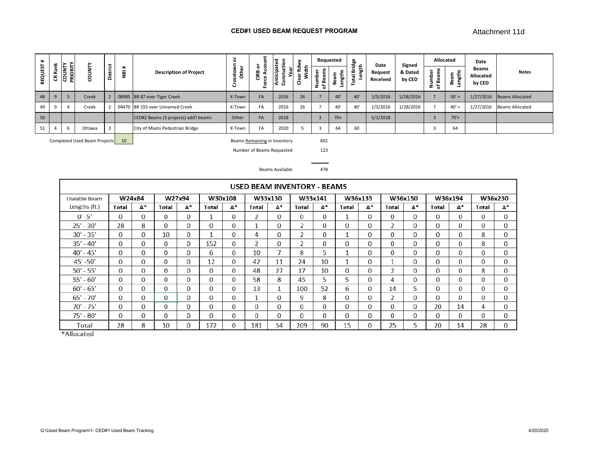#### **CED#1 USED BEAM REQUEST PROGRAM**

|          |                             |        | سه. |          |                               | $\circ$                                                                                                                                    |                        | ਹ<br>$\mathbf{a}$ |                  |             |        |                 |                         |                   |                                            |                                              | Date                                |                        |
|----------|-----------------------------|--------|-----|----------|-------------------------------|--------------------------------------------------------------------------------------------------------------------------------------------|------------------------|-------------------|------------------|-------------|--------|-----------------|-------------------------|-------------------|--------------------------------------------|----------------------------------------------|-------------------------------------|------------------------|
| ෪        | $\overline{\alpha}$<br>PRIO | 8      |     | -<br>٣   | <b>Description of Project</b> | $\mathbf{a}$<br>്                                                                                                                          | CIRB<br>ഄ<br>$\bullet$ | í0<br>ី           | ≖<br>ᄒ<br>œ<br>ق | ω<br>മ<br>Ž | s<br>മ | ᇰ<br>ভূ<br>otal | Request<br>Received     | & Dated<br>by CED | <b>S</b><br>ΦĔ<br>ខ្ចឹ ទី<br>ര<br>മ<br>z స | $\mathbf{u}$<br>-Ë<br>틂<br>≃<br>$\mathbf{a}$ | <b>Beams</b><br>Allocated<br>by CED | <b>Notes</b>           |
| 9        |                             | Creek  |     |          |                               | X-Town                                                                                                                                     | <b>FA</b>              | 2016              | 26               |             | 40'    | 40'             | 1/5/2016                | 1/28/2016         |                                            | $50'$ +                                      | 1/27/2016                           | Beams Allocated        |
| $\alpha$ |                             | Creek  |     |          |                               | X-Town                                                                                                                                     | FA                     | 2016              | 26               |             | 40'    | 40'             | 1/5/2016                | 1/28/2016         |                                            | $40'$ +                                      | 1/27/2016                           | <b>Beams Allocated</b> |
|          |                             |        |     |          |                               | Other                                                                                                                                      | <b>FA</b>              | 2018              |                  |             | $70+$  |                 | 5/1/2018                |                   |                                            | $70'+$                                       |                                     |                        |
|          |                             | Ottawa |     |          |                               | X-Town                                                                                                                                     | FA                     | 2020              |                  |             | 64     | 60              |                         |                   |                                            | 64                                           |                                     |                        |
|          | Rank                        | ٮ      | ⊢   | District | $\ast$                        | 08985 BR 87 over Tiger Creek<br>04470 BR 155 over Unnamed Creek<br>CED#2 Beams (3 projects) add'l beams<br>City of Miami Pedestrian Bridge |                        | ہ ج<br>$\circ$    | ÷<br>nticip      | 줂           |        | Requested       | dge<br>£<br>ength:<br>E | Date              | Signed                                     |                                              | Allocated                           |                        |

Completed Used Beam Projects 10 601

Beams Remaining in Inventory

123

Number of Beams Requested

478Beams Available

|               |              |          |          |          |          |          | USED BEAM INVENTORY - BEAMS |              |                          |          |       |          |                |          |          |              |       |          |
|---------------|--------------|----------|----------|----------|----------|----------|-----------------------------|--------------|--------------------------|----------|-------|----------|----------------|----------|----------|--------------|-------|----------|
| Useable Beam  |              | W24x84   |          | W27x94   |          | W30x108  |                             | W33x130      |                          | W33x141  |       | W36x135  |                | W36x150  |          | W36x194      |       | W36x230  |
| Lengths (ft.) | Total        | А*       | Total    | $A^*$    | Total    | $A^*$    | Total                       | $A^*$        | Total                    | $A^*$    | Total | $A^*$    | <b>Total</b>   | $A^*$    | Total    | $A^*$        | Total | $A^*$    |
| $0' - 5'$     | $\Omega$     | $\Omega$ | $\Omega$ | $\Omega$ |          | $\Omega$ | 2                           | $\Omega$     | 0                        | $\Omega$ |       | 0        | 0              | $\Omega$ | 0        | $\Omega$     | 0     | $\Omega$ |
| $25' - 30'$   | 28           | 8        | O        | $\Omega$ | $\Omega$ | 0        |                             | 0            | $\overline{\phantom{a}}$ | $\Omega$ | 0     | 0        | 2              | 0        | O        | $\Omega$     | O     | $\Omega$ |
| $30' - 35'$   | 0            | 0        | 10       | $\bf{0}$ |          | $\bf{0}$ | 4                           | 0            | $\overline{2}$           | $\bf{0}$ |       | 0        | $\bf{0}$       | 0        | $\Omega$ | $\bf{0}$     | 8     | $\bf{0}$ |
| $35' - 40'$   | $\bf{0}$     | 0        | $\Omega$ | $\Omega$ | 152      | $\bf{0}$ | $\overline{a}$              | 0            | 2                        | $\Omega$ | 0     | 0        | $\bf{0}$       | 0        | $\Omega$ | $\Omega$     | 8     | $\Omega$ |
| $40' - 45'$   | $\bf{0}$     | 0        | $\Omega$ | $\Omega$ | 6        | $\bf{0}$ | 10                          | $\mathbf{r}$ | 8                        | 5        |       | 0        | $\mathbf{0}$   | 0        | 0        | $\Omega$     | 0     | $\Omega$ |
| $45' - 50'$   | $\Omega$     | 0        | 0        | $\Omega$ | 12       | $\Omega$ | 42                          | 11           | 24                       | 10       |       | 0        |                | 0        | 0        | $\mathbf{0}$ | 0     | $\Omega$ |
| $50' - 55'$   | 0            | 0        | $\Omega$ | $\Omega$ | $\Omega$ | $\Omega$ | 48                          | 27           | 17                       | 10       | 0     | 0        | 2              | 0        | $\Omega$ | $\Omega$     | 8     | $\bf{0}$ |
| $55' - 60'$   | $\Omega$     | 0        | $\Omega$ | $\Omega$ | 0        | 0        | 58                          | 8            | 45                       | 5        | 5.    | 0        | 4              | 0        | $\Omega$ | $\Omega$     | 0     | $\Omega$ |
| $60' - 65'$   | $\Omega$     | 0        | $\Omega$ | $\Omega$ | 0        | $\Omega$ | 13                          | 1            | 100                      | 52       | 6     | 0        | 14             | 5        | $\Omega$ | $\Omega$     | 0     | $\Omega$ |
| $65' - 70'$   | $\bf{0}$     | 0        | 0        | $\Omega$ | 0        | $\Omega$ |                             | 0            | 9                        | 8        | 0     | 0        | $\overline{a}$ | 0        | 0        | $\Omega$     | 0     | $\Omega$ |
| $70' - 75'$   | $\bf{0}$     | 0        | $\Omega$ | $\Omega$ | 0        | $\bf{0}$ | $\bf{0}$                    | $\bf{0}$     | $\Omega$                 | $\Omega$ | 0     | 0        | $\mathbf{0}$   | 0        | 20       | 14           | 4     | $\Omega$ |
| $75' - 80'$   | $\mathbf{0}$ | 0        | 0        | $\Omega$ | 0        | $\Omega$ | $\Omega$                    | 0            | 0                        | $\Omega$ | 0     | $\Omega$ | $\Omega$       | 0        | 0        | $\Omega$     | 0     | $\Omega$ |
| Total         | 28           | 8        | 10       | $\Omega$ | 172      | 0        | 181                         | 54           | 209                      | 90       | 15    | 0        | 25             | 5        | 20       | 14           | 28    | 0        |

\*Allocated

Q:\Used Beam Program\1- CED#1 Used Beam Tracking 4/20/2020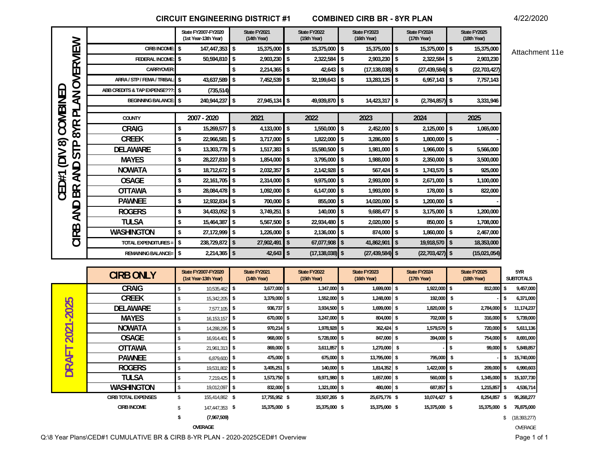**CIRCUIT ENGINEERING DISTRICT #1 COMBINED CIRB BR - 8YR PLAN**

4/22/2020

|                                           |                              |                    | State FY2007-FY2020<br>(1st Year-13th Year)        |                          | State FY2021<br>(14th Year) |               | State FY2022<br>(15th Year) |                | State FY2023<br>(16th Year) |                         | State FY2024<br>(17th Year) |            | State FY2025<br>(18th Year) |            |                         |
|-------------------------------------------|------------------------------|--------------------|----------------------------------------------------|--------------------------|-----------------------------|---------------|-----------------------------|----------------|-----------------------------|-------------------------|-----------------------------|------------|-----------------------------|------------|-------------------------|
| OVERVIEW                                  | <b>CIRB INCOME</b>           | Ŝ.                 | 147,447,353 \$                                     |                          | 15,375,000 \$               |               | 15,375,000 \$               |                | 15,375,000                  | l \$                    | 15,375,000                  | \$         | 15,375,000                  |            | Attachment 11e          |
|                                           | <b>FEDERAL INCOME</b>        | \$                 | 50,594,810 \$                                      |                          | 2,903,230 \$                |               | 2,322,584                   | $\blacksquare$ | 2,903,230                   | <b>S</b>                | 2,322,584                   | 5          | 2,903,230                   |            |                         |
|                                           | CARRYOVER                    |                    |                                                    | \$                       | $2,214,365$ \$              |               | $42,643$ \$                 |                | $(17, 138, 038)$ \$         |                         | $(27, 439, 584)$ \$         |            | (22, 703, 427)              |            |                         |
|                                           | ARRA / STP / FEMA / TRIBAL   | Ŝ.                 | 43,637,589                                         | \$                       | 7,452,539                   | $\mathsf{\$}$ | 32,199,643                  | <b>S</b>       | 13,283,125                  | -S                      | 6,957,143                   | \$         | 7,757,143                   |            |                         |
| ⊆                                         | ABB CREDITS & TAP EXPENSE??? | l \$               | (735, 514)                                         |                          |                             |               |                             |                |                             |                         |                             |            |                             |            |                         |
| $\lambda N$                               | <b>BEGINNING BALANCE</b>     | l \$               | 240,944,237 \$                                     |                          | $27,945,134$ \$             |               | 49,939,870 \$               |                | 14,423,317                  | <b>S</b>                | $(2,784,857)$ \$            |            | 3,331,946                   |            |                         |
| COMBINE<br>ᅙ                              |                              |                    |                                                    |                          |                             |               |                             |                |                             |                         |                             |            |                             |            |                         |
|                                           | COUNTY                       |                    | 2007 - 2020                                        |                          | 2021                        |               | 2022                        |                | 2023                        |                         | 2024                        |            | 2025                        |            |                         |
| 8YR                                       | <b>CRAIG</b>                 | \$                 | 15,269,577                                         | <b>S</b>                 | 4,133,000 \$                |               | 1,550,000 \$                |                | 2,452,000                   | l \$                    | 2,125,000                   | <b>\$</b>  | 1,065,000                   |            |                         |
| $\infty$<br>$\mathbf{\underline{\Omega}}$ | <b>CREEK</b>                 | \$                 | 22,966,581 \$                                      |                          | $3,717,000$ \$              |               | $1,822,000$ \$              |                | 3,286,000                   | <b>\$</b>               | 1,800,000                   | <b>\$</b>  |                             |            |                         |
|                                           | <b>DELAWARE</b>              | \$                 | 13,303,778 \$                                      |                          | $1,517,383$ \$              |               | 15,580,500 \$               |                | 1,981,000                   | <b>\$</b>               | 1,966,000                   | \$         | 5,566,000                   |            |                         |
| <b>NO</b><br><u>َ ن</u>                   | <b>MAYES</b>                 | \$                 | 28,227,810 \$                                      |                          | 1,854,000 \$                |               | 3,795,000                   | $\blacksquare$ | 1,988,000                   | $\mathbf{\overline{3}}$ | 2,350,000                   | \$         | 3,500,000                   |            |                         |
| ≏                                         | <b>NOWATA</b>                | \$                 | 18,712,672 \$                                      |                          | $2,032,357$ \$              |               | $2,142,928$ \$              |                | 567,424                     | <b>\$</b>               | $1,743,570$ \$              |            | 925,000                     |            |                         |
| $\leq$<br>CED#1                           | <b>OSAGE</b>                 | \$                 | 22.161.705 \$                                      |                          | 2,314,000                   | $\mathsf{\$}$ | 9,975,000 \$                |                | 2,993,000                   | <b>S</b>                | 2,671,000                   | \$         | 1,100,000                   |            |                         |
| BR                                        | <b>OTTAWA</b>                | \$                 | 28,084,478 \$                                      |                          | 1,092,000 \$                |               | $6,147,000$ \$              |                | 1,993,000                   | l \$                    | 178,000                     | <b>\$</b>  | 822,000                     |            |                         |
|                                           | <b>PAWNEE</b>                | \$                 | 12,932,834 \$                                      |                          | 700,000 \$                  |               | 855,000                     | $\blacksquare$ | 14,020,000                  | l \$                    | 1,200,000                   | 5          |                             |            |                         |
| AND                                       | <b>ROGERS</b>                | \$                 | 34,433,052                                         | \$                       | $3,749,251$ \$              |               | $140,000$ \$                |                | 9,688,477                   | $\sqrt{2}$              | 3,175,000                   | \$         | 1,200,000                   |            |                         |
|                                           | <b>TULSA</b>                 | \$                 | 15,464,387 \$                                      |                          | $5,567,500$ \$              |               | 22,934,480                  | $\blacksquare$ | 2,020,000                   | $\sqrt{3}$              | 850,000                     | <b>S</b>   | 1,708,000                   |            |                         |
| CIRB                                      | <b>WASHINGTON</b>            | \$                 | 27,172,999 \$                                      |                          | $1,226,000$ \$              |               | 2,136,000                   | $\blacksquare$ | 874,000                     | l \$                    | 1,860,000                   | \$         | 2,467,000                   |            |                         |
|                                           | <b>TOTAL EXPENDITURES:</b>   | \$                 | 238,729,872                                        | $\overline{\phantom{a}}$ | 27,902,491                  | $\sqrt{2}$    | 67,077,908 \$               |                | 41,862,901                  | $\overline{\mathbf{3}}$ | 19,918,570                  | $\sqrt{3}$ | 18,353,000                  |            |                         |
|                                           | <b>REMAINING BALANCE=</b>    | $\mathsf{\$}$      | $2,214,365$ \$                                     |                          | $42,643$ \$                 |               | $(17, 138, 038)$ \$         |                | $(27, 439, 584)$ \$         |                         | $(22,703,427)$ \$           |            | (15,021,054)                |            |                         |
|                                           |                              |                    |                                                    |                          |                             |               |                             |                |                             |                         |                             |            |                             |            |                         |
|                                           | <b>CIRB ONLY</b>             |                    | <b>State FY2007-FY2020</b><br>(1st Year-13th Year) |                          | State FY2021<br>(14th Year) |               | State FY2022<br>(15th Year) |                | State FY2023<br>(16th Year) |                         | State FY2024<br>(17th Year) |            | State FY2025<br>(18th Year) |            | 5YR<br><b>SUBTOTALS</b> |
|                                           | <b>CRAIG</b>                 |                    | 10,535,462 \$                                      |                          | 3,677,000 \$                |               | 1,347,000 \$                |                | 1,699,000 \$                |                         | 1,922,000 \$                |            | 812,000                     | \$         | 9,457,000               |
|                                           | <b>CREEK</b>                 |                    | 15,342,205                                         | \$                       | 3,379,000 \$                |               | 1,552,000 \$                |                | 1,248,000 \$                |                         | 192,000                     | $\sqrt{5}$ |                             | \$         | 6,371,000               |
|                                           | <b>DELAWARE</b>              |                    | 7,577,105 \$                                       |                          | 936,737 \$                  |               | 3,934,500 \$                |                | 1,699,000 \$                |                         | 1,820,000 \$                |            | 2,784,000                   | \$         | 11,174,237              |
| 2021-2025                                 | <b>MAYES</b>                 | $\mathbf{\hat{S}}$ | $16, 153, 157$ \$                                  |                          | 670,000 \$                  |               | 3,247,000 \$                |                | 804,000 \$                  |                         | 702,000 \$                  |            | 316,000                     | $\sqrt{3}$ | 5,739,000               |
|                                           | <b>NOWATA</b>                |                    | 14,288,295                                         | \$                       | $970,214$ \$                |               | 1,978,928 \$                |                | $362,424$ \$                |                         | 1,579,570                   | $\sqrt{3}$ | 720,000                     | \$         | 5,611,136               |
|                                           | <b>OSAGE</b>                 | <sup>\$</sup>      | 16,914,401 \$                                      |                          | 968,000 \$                  |               | 5,728,000 \$                |                | 847,000 \$                  |                         | 394,000 \$                  |            | 754,000                     | \$         | 8,691,000               |
| ட                                         | <b>OTTAWA</b>                | $\mathbf{\hat{S}}$ | 21,961,313 \$                                      |                          | 869,000 \$                  |               | $3,611,857$ \$              |                | 1,270,000 \$                |                         |                             | \$         | 99,000                      | \$         | 5,849,857               |
| <b>RA</b>                                 | <b>PAWNEE</b>                |                    | 6,879,600 \$                                       |                          | 475,000 \$                  |               | 675,000 \$                  |                | 13,795,000 \$               |                         | 795,000 \$                  |            |                             |            | 15,740,000              |
|                                           | <b>ROGERS</b>                | <sup>\$</sup>      | 19,531,802 \$                                      |                          | $3,405,251$ \$              |               | $140,000$ \$                |                | 1,814,352 \$                |                         | 1,422,000 \$                |            | 209,000                     | \$         | 6,990,603               |
|                                           | <b>TULSA</b>                 | \$                 | 7,219,425 \$                                       |                          | 1,573,750 \$                |               | 9,971,980 \$                |                | 1,657,000 \$                |                         | 560,000 \$                  |            | $1,345,000$ \$              |            | 15,107,730              |
|                                           | <b>WASHINGTON</b>            | $\sqrt{2}$         | 19,012,097 \$                                      |                          | 832,000 \$                  |               | 1,321,000 \$                |                | 480,000 \$                  |                         | 687,857 \$                  |            | $1,215,857$ \$              |            | 4,536,714               |
|                                           | <b>CIRB TOTAL EXPENSES</b>   | \$                 | 155,414,862 \$                                     |                          | 17,755,952 \$               |               | 33,507,265 \$               |                | 25,675,776 \$               |                         | 10,074,427 \$               |            | 8,254,857 \$                |            | 95,268,277              |
|                                           | <b>CIRB INCOME</b>           | \$                 | 147,447,353 \$                                     |                          | 15,375,000 \$               |               | 15,375,000 \$               |                | 15,375,000 \$               |                         | 15,375,000 \$               |            | 15,375,000 \$ 76,875,000    |            |                         |
|                                           |                              | \$                 | (7,967,509)                                        |                          |                             |               |                             |                |                             |                         |                             |            |                             |            | \$(18, 393, 277)        |

 **OVERAGE** OVERAGE

OVERAGE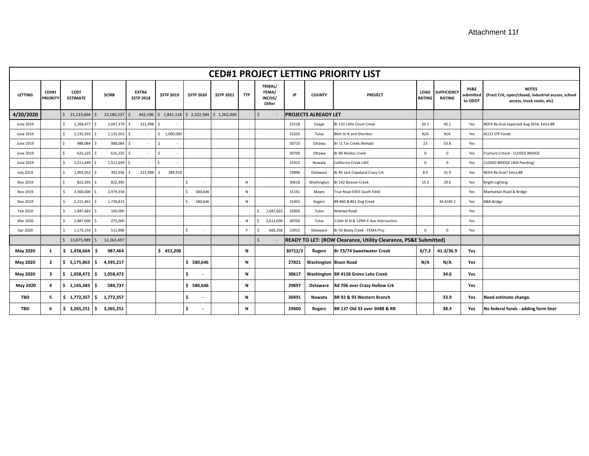| <b>CED#1 PROJECT LETTING PRIORITY LIST</b> |                                 |                           |                     |                                   |                                             |                   |                   |            |                                                                                  |           |                              |                                       |                       |                                     |                                        |                                                                                                  |
|--------------------------------------------|---------------------------------|---------------------------|---------------------|-----------------------------------|---------------------------------------------|-------------------|-------------------|------------|----------------------------------------------------------------------------------|-----------|------------------------------|---------------------------------------|-----------------------|-------------------------------------|----------------------------------------|--------------------------------------------------------------------------------------------------|
| <b>LETTING</b>                             | <b>CED#1</b><br><b>PRIORIT\</b> | COST<br><b>ESTIMATE</b>   | <b>\$CIRB</b>       | <b>EXTRA</b><br><b>\$STP 2018</b> | <b>\$STP 2019</b>                           | <b>\$STP 2020</b> | <b>\$STP 2021</b> | <b>TTP</b> | TRIBAL/<br>FEMA/<br>INCOG/<br>Other                                              | <b>JP</b> | <b>COUNTY</b>                | <b>PROJECT</b>                        | LOAD<br><b>RATING</b> | <b>SUFFICIENCY</b><br><b>RATING</b> | <b>PS&amp;E</b><br>ubmitted<br>to ODOT | <b>NOTES</b><br>(Fract Crit, open/closed, industrial access, school<br>access, truck route, etc) |
| 4/20/2020                                  |                                 | \$21,133,664              | 13,180,337<br>l S   | - Ś                               | 442,196 \$1,841,118 \$2,322,584 \$1,262,000 |                   |                   |            | $\mathsf{S}$                                                                     |           | <b>PROJECTS ALREADY LET</b>  |                                       |                       |                                     |                                        |                                                                                                  |
| June 2019                                  |                                 | $\mathsf{S}$<br>2,268,477 | 2,047,379<br>l s    | 221,098<br>- Ś                    | $\mathsf{s}$                                |                   |                   |            |                                                                                  | 25528     | Osage                        | Br 133 Little Drum Creek              | 20.1                  | 45.1                                | Yes                                    | NEPA Re-Eval expected Aug 2018, Extra BR                                                         |
| June 2019                                  |                                 | 2,135,503<br>$\mathsf{S}$ | 1,135,503 \$<br>l s |                                   | \$1,000,000                                 |                   |                   |            |                                                                                  | 32203     | Tulsa                        | 86th St N and Sheridan                | N/A                   | N/A                                 | Yes                                    | <b>ACCO STP Funds</b>                                                                            |
| June 2019                                  |                                 | 988,084<br>Ś.             | 988,084<br>ΙŚ       | - Ś                               | Ŝ.<br>$\sim$                                |                   |                   |            |                                                                                  | 30710     | Ottawa                       | Br 11 Tar Creek (Rehab)               | 23                    | 53.8                                | Yes                                    |                                                                                                  |
| June 2019                                  |                                 | \$<br>625,225             | l s<br>625,225      | l \$                              | $\mathsf{s}$<br>$\sim$                      |                   |                   |            |                                                                                  | 30709     | Ottawa                       | Br 80 Modoc Creek                     | $\overline{0}$        | $\Omega$                            | Yes                                    | Fracture Critical - CLOSED BRIDGE                                                                |
| June 2019                                  |                                 | \$<br>1,511,649 \$        | 1,511,649           | I S                               | <sup>\$</sup>                               |                   |                   |            |                                                                                  | 25423     | Nowata                       | California Creek LWC                  | $\mathbf{0}$          | $\Omega$                            | Yes                                    | CLOSED BRIDGE (404 Pending)                                                                      |
| <b>July 2019</b>                           |                                 | \$<br>1,003,052           | 392,036<br>l s      | 221,098                           | 389,918<br>-S                               |                   |                   |            |                                                                                  | 29896     | Delaware                     | Br 85 Jack Copeland Crazy Crk         | 8.9                   | 31.9                                | Yes                                    | NEPA Re-Eval? Extra BR                                                                           |
| Nov 2019                                   |                                 | Ś.<br>822,395             | 822,395<br>l s      |                                   |                                             |                   |                   | N          |                                                                                  | 30618     | Washington                   | Br 142 Beavan Creek                   | 15.3                  | 29.6                                | Yes                                    | <b>Bright Lighting</b>                                                                           |
| Nov 2019                                   |                                 | Ŝ.<br>3,560,000           | 2,979,354<br>l \$   |                                   |                                             | 580,646           |                   | N          |                                                                                  | 31161     | Mayes                        | True Road E405 South E440             |                       |                                     | Yes                                    | Manhattan Road & Bridge                                                                          |
| Nov 2019                                   |                                 | Ŝ.<br>2,311,461           | 1,730,815<br>I S    |                                   |                                             | 580,646           |                   | N          |                                                                                  | 31402     | Rogers                       | BR #60 & #61 Dog Creek                |                       | 34.9/40.2                           | Yes                                    | <b>B&amp;B Bridge</b>                                                                            |
| Feb 2020                                   |                                 | Ŝ.<br>1,847,663           | 160,000<br>l s      |                                   |                                             |                   |                   |            | 1,687,663<br>Ś.                                                                  | 32856     | Tulsa                        | Wekiwa Road                           |                       |                                     | Yes                                    |                                                                                                  |
| Mar 2020                                   |                                 | Ŝ.<br>2,887,000 \$        | 275,000             |                                   |                                             |                   |                   | N          | 2,612,000                                                                        | 30703     | Tulsa                        | 116th St N & 129th E Ave Intersection |                       |                                     | Yes                                    |                                                                                                  |
| Apr 2020                                   |                                 | 1,173,154<br>$\zeta$      | l s<br>512,896      |                                   |                                             | ٠                 |                   | Y          | 660,258                                                                          | 33915     | Delaware                     | Br 56 Beaty Creek - FEMA Proj         | $\Omega$              | $\Omega$                            | Yes                                    |                                                                                                  |
|                                            |                                 | \$13,875,989              | l S<br>12,263,497   |                                   |                                             |                   |                   |            | READY TO LET: (ROW Clearance, Utility Clearance, PS&E Submitted)<br>$\mathsf{S}$ |           |                              |                                       |                       |                                     |                                        |                                                                                                  |
| May 2020                                   | 1                               | \$1,438,664               | 987,464<br>- S      |                                   | \$451,200                                   |                   |                   | N          |                                                                                  | 30712/3   | Rogers                       | Br 73/74 Sweetwater Creek             | 6/7.2                 | 41.3/36.9                           | Yes                                    |                                                                                                  |
| May 2020                                   | $\overline{2}$                  | \$5,175,863               | 4,595,217<br>l S    |                                   |                                             | \$580,646         |                   | N          |                                                                                  | 27821     | <b>Washington Bison Road</b> |                                       | N/A                   | N/A                                 | Yes                                    |                                                                                                  |
| May 2020                                   | 3                               | $$1,058,472$ \$           | 1,058,472           |                                   |                                             | $\sim$            |                   | N          |                                                                                  | 30617     |                              | Washington BR #158 Green Lake Creek   |                       | 34.6                                | Yes                                    |                                                                                                  |
| May 2020                                   | 4                               | \$1,165,383               | 584,737             |                                   |                                             | \$580,646         |                   | Ν          |                                                                                  | 29897     | Delaware                     | Rd 706 over Crazy Hollow Crk          |                       |                                     | Yes                                    |                                                                                                  |
| <b>TBD</b>                                 | 5                               | \$1,772,357               | - \$<br>1,772,357   |                                   |                                             | $\sim$            |                   | Ν          |                                                                                  | 30491     | Nowata                       | BR 92 & 93 Western Branch             |                       | 33.9                                | Yes                                    | Need estimate change.                                                                            |
| <b>TBD</b>                                 | 6                               | $$3,265,251$ $$$          | 3,265,251           |                                   |                                             | $\sim$            |                   | N          |                                                                                  | 29400     | Rogers                       | BR 137 Old 33 over SH88 & RR          |                       | 38.3                                | Yes                                    | No federal funds - adding form liner                                                             |